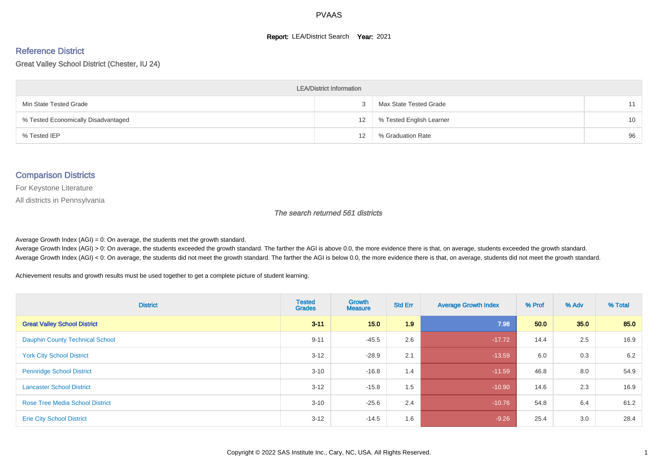#### **Report: LEA/District Search Year: 2021**

# Reference District

Great Valley School District (Chester, IU 24)

| <b>LEA/District Information</b>     |    |                          |                 |  |  |  |  |  |  |  |
|-------------------------------------|----|--------------------------|-----------------|--|--|--|--|--|--|--|
| Min State Tested Grade              |    | Max State Tested Grade   | 11              |  |  |  |  |  |  |  |
| % Tested Economically Disadvantaged | 12 | % Tested English Learner | 10 <sup>1</sup> |  |  |  |  |  |  |  |
| % Tested IEP                        | 12 | % Graduation Rate        | 96              |  |  |  |  |  |  |  |

#### Comparison Districts

For Keystone Literature

All districts in Pennsylvania

The search returned 561 districts

Average Growth Index  $(AGI) = 0$ : On average, the students met the growth standard.

Average Growth Index (AGI) > 0: On average, the students exceeded the growth standard. The farther the AGI is above 0.0, the more evidence there is that, on average, students exceeded the growth standard. Average Growth Index (AGI) < 0: On average, the students did not meet the growth standard. The farther the AGI is below 0.0, the more evidence there is that, on average, students did not meet the growth standard.

Achievement results and growth results must be used together to get a complete picture of student learning.

| <b>District</b>                        | <b>Tested</b><br><b>Grades</b> | Growth<br><b>Measure</b> | <b>Std Err</b> | <b>Average Growth Index</b> | % Prof | % Adv | % Total |
|----------------------------------------|--------------------------------|--------------------------|----------------|-----------------------------|--------|-------|---------|
| <b>Great Valley School District</b>    | $3 - 11$                       | 15.0                     | 1.9            | 7.98                        | 50.0   | 35.0  | 85.0    |
| <b>Dauphin County Technical School</b> | $9 - 11$                       | $-45.5$                  | 2.6            | $-17.72$                    | 14.4   | 2.5   | 16.9    |
| <b>York City School District</b>       | $3 - 12$                       | $-28.9$                  | 2.1            | $-13.59$                    | 6.0    | 0.3   | 6.2     |
| <b>Pennridge School District</b>       | $3 - 10$                       | $-16.8$                  | 1.4            | $-11.59$                    | 46.8   | 8.0   | 54.9    |
| <b>Lancaster School District</b>       | $3 - 12$                       | $-15.8$                  | 1.5            | $-10.90$                    | 14.6   | 2.3   | 16.9    |
| <b>Rose Tree Media School District</b> | $3 - 10$                       | $-25.6$                  | 2.4            | $-10.76$                    | 54.8   | 6.4   | 61.2    |
| <b>Erie City School District</b>       | $3 - 12$                       | $-14.5$                  | 1.6            | $-9.26$                     | 25.4   | 3.0   | 28.4    |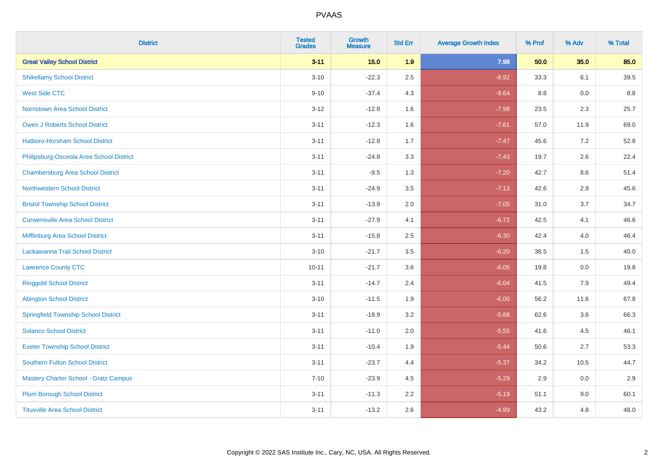| <b>District</b>                             | <b>Tested</b><br><b>Grades</b> | <b>Growth</b><br><b>Measure</b> | <b>Std Err</b> | <b>Average Growth Index</b> | % Prof | % Adv   | % Total |
|---------------------------------------------|--------------------------------|---------------------------------|----------------|-----------------------------|--------|---------|---------|
| <b>Great Valley School District</b>         | $3 - 11$                       | 15.0                            | 1.9            | 7.98                        | 50.0   | 35.0    | 85.0    |
| <b>Shikellamy School District</b>           | $3 - 10$                       | $-22.3$                         | 2.5            | $-8.92$                     | 33.3   | 6.1     | 39.5    |
| <b>West Side CTC</b>                        | $9 - 10$                       | $-37.4$                         | 4.3            | $-8.64$                     | 8.8    | 0.0     | 8.8     |
| <b>Norristown Area School District</b>      | $3 - 12$                       | $-12.8$                         | 1.6            | $-7.98$                     | 23.5   | $2.3\,$ | 25.7    |
| <b>Owen J Roberts School District</b>       | $3 - 11$                       | $-12.3$                         | 1.6            | $-7.61$                     | 57.0   | 11.9    | 69.0    |
| <b>Hatboro-Horsham School District</b>      | $3 - 11$                       | $-12.8$                         | 1.7            | $-7.47$                     | 45.6   | 7.2     | 52.8    |
| Philipsburg-Osceola Area School District    | $3 - 11$                       | $-24.8$                         | 3.3            | $-7.43$                     | 19.7   | 2.6     | 22.4    |
| <b>Chambersburg Area School District</b>    | $3 - 11$                       | $-9.5$                          | 1.3            | $-7.20$                     | 42.7   | 8.6     | 51.4    |
| <b>Northwestern School District</b>         | $3 - 11$                       | $-24.9$                         | 3.5            | $-7.13$                     | 42.6   | 2.9     | 45.6    |
| <b>Bristol Township School District</b>     | $3 - 11$                       | $-13.9$                         | 2.0            | $-7.05$                     | 31.0   | 3.7     | 34.7    |
| <b>Curwensville Area School District</b>    | $3 - 11$                       | $-27.9$                         | 4.1            | $-6.72$                     | 42.5   | 4.1     | 46.6    |
| Mifflinburg Area School District            | $3 - 11$                       | $-15.8$                         | 2.5            | $-6.30$                     | 42.4   | 4.0     | 46.4    |
| Lackawanna Trail School District            | $3 - 10$                       | $-21.7$                         | 3.5            | $-6.20$                     | 38.5   | 1.5     | 40.0    |
| <b>Lawrence County CTC</b>                  | $10 - 11$                      | $-21.7$                         | 3.6            | $-6.05$                     | 19.8   | 0.0     | 19.8    |
| <b>Ringgold School District</b>             | $3 - 11$                       | $-14.7$                         | 2.4            | $-6.04$                     | 41.5   | 7.9     | 49.4    |
| <b>Abington School District</b>             | $3 - 10$                       | $-11.5$                         | 1.9            | $-6.00$                     | 56.2   | 11.6    | 67.8    |
| <b>Springfield Township School District</b> | $3 - 11$                       | $-18.9$                         | 3.2            | $-5.88$                     | 62.6   | 3.6     | 66.3    |
| <b>Solanco School District</b>              | $3 - 11$                       | $-11.0$                         | 2.0            | $-5.55$                     | 41.6   | 4.5     | 46.1    |
| <b>Exeter Township School District</b>      | $3 - 11$                       | $-10.4$                         | 1.9            | $-5.44$                     | 50.6   | 2.7     | 53.3    |
| <b>Southern Fulton School District</b>      | $3 - 11$                       | $-23.7$                         | 4.4            | $-5.37$                     | 34.2   | 10.5    | 44.7    |
| Mastery Charter School - Gratz Campus       | $7 - 10$                       | $-23.9$                         | 4.5            | $-5.29$                     | 2.9    | 0.0     | 2.9     |
| <b>Plum Borough School District</b>         | $3 - 11$                       | $-11.3$                         | 2.2            | $-5.19$                     | 51.1   | 9.0     | 60.1    |
| <b>Titusville Area School District</b>      | $3 - 11$                       | $-13.2$                         | 2.6            | $-4.99$                     | 43.2   | 4.8     | 48.0    |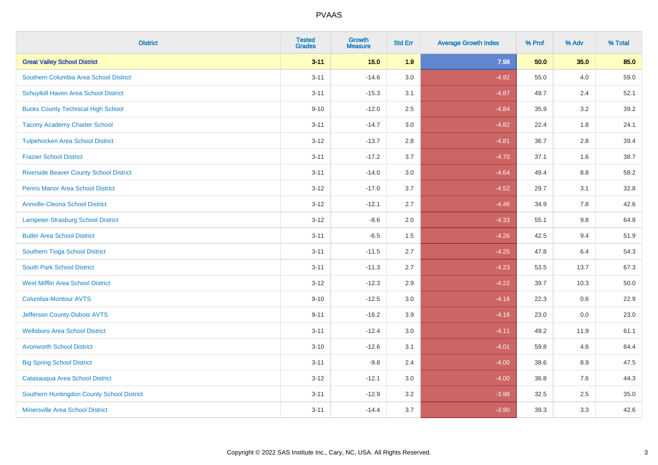| <b>District</b>                                | <b>Tested</b><br><b>Grades</b> | <b>Growth</b><br><b>Measure</b> | <b>Std Err</b> | <b>Average Growth Index</b> | % Prof | % Adv | % Total |
|------------------------------------------------|--------------------------------|---------------------------------|----------------|-----------------------------|--------|-------|---------|
| <b>Great Valley School District</b>            | $3 - 11$                       | 15.0                            | 1.9            | 7.98                        | 50.0   | 35.0  | 85.0    |
| Southern Columbia Area School District         | $3 - 11$                       | $-14.6$                         | 3.0            | $-4.92$                     | 55.0   | 4.0   | 59.0    |
| Schuylkill Haven Area School District          | $3 - 11$                       | $-15.3$                         | 3.1            | $-4.87$                     | 49.7   | 2.4   | 52.1    |
| <b>Bucks County Technical High School</b>      | $9 - 10$                       | $-12.0$                         | 2.5            | $-4.84$                     | 35.9   | 3.2   | 39.2    |
| <b>Tacony Academy Charter School</b>           | $3 - 11$                       | $-14.7$                         | 3.0            | $-4.82$                     | 22.4   | 1.8   | 24.1    |
| <b>Tulpehocken Area School District</b>        | $3 - 12$                       | $-13.7$                         | 2.8            | $-4.81$                     | 36.7   | 2.8   | 39.4    |
| <b>Frazier School District</b>                 | $3 - 11$                       | $-17.2$                         | 3.7            | $-4.70$                     | 37.1   | 1.6   | 38.7    |
| <b>Riverside Beaver County School District</b> | $3 - 11$                       | $-14.0$                         | 3.0            | $-4.64$                     | 49.4   | 8.8   | 58.2    |
| <b>Penns Manor Area School District</b>        | $3 - 12$                       | $-17.0$                         | 3.7            | $-4.52$                     | 29.7   | 3.1   | 32.8    |
| <b>Annville-Cleona School District</b>         | $3 - 12$                       | $-12.1$                         | 2.7            | $-4.46$                     | 34.9   | 7.8   | 42.6    |
| Lampeter-Strasburg School District             | $3 - 12$                       | $-8.6$                          | 2.0            | $-4.33$                     | 55.1   | 9.8   | 64.8    |
| <b>Butler Area School District</b>             | $3 - 11$                       | $-6.5$                          | 1.5            | $-4.26$                     | 42.5   | 9.4   | 51.9    |
| Southern Tioga School District                 | $3 - 11$                       | $-11.5$                         | 2.7            | $-4.25$                     | 47.8   | 6.4   | 54.3    |
| <b>South Park School District</b>              | $3 - 11$                       | $-11.3$                         | 2.7            | $-4.23$                     | 53.5   | 13.7  | 67.3    |
| <b>West Mifflin Area School District</b>       | $3 - 12$                       | $-12.3$                         | 2.9            | $-4.22$                     | 39.7   | 10.3  | 50.0    |
| <b>Columbia-Montour AVTS</b>                   | $9 - 10$                       | $-12.5$                         | 3.0            | $-4.16$                     | 22.3   | 0.6   | 22.9    |
| Jefferson County-Dubois AVTS                   | $9 - 11$                       | $-16.2$                         | 3.9            | $-4.16$                     | 23.0   | 0.0   | 23.0    |
| <b>Wellsboro Area School District</b>          | $3 - 11$                       | $-12.4$                         | 3.0            | $-4.11$                     | 49.2   | 11.9  | 61.1    |
| <b>Avonworth School District</b>               | $3 - 10$                       | $-12.6$                         | 3.1            | $-4.01$                     | 59.8   | 4.6   | 64.4    |
| <b>Big Spring School District</b>              | $3 - 11$                       | $-9.8$                          | 2.4            | $-4.00$                     | 38.6   | 8.9   | 47.5    |
| Catasauqua Area School District                | $3 - 12$                       | $-12.1$                         | 3.0            | $-4.00$                     | 36.8   | 7.6   | 44.3    |
| Southern Huntingdon County School District     | $3 - 11$                       | $-12.9$                         | 3.2            | $-3.98$                     | 32.5   | 2.5   | 35.0    |
| <b>Minersville Area School District</b>        | $3 - 11$                       | $-14.4$                         | 3.7            | $-3.90$                     | 39.3   | 3.3   | 42.6    |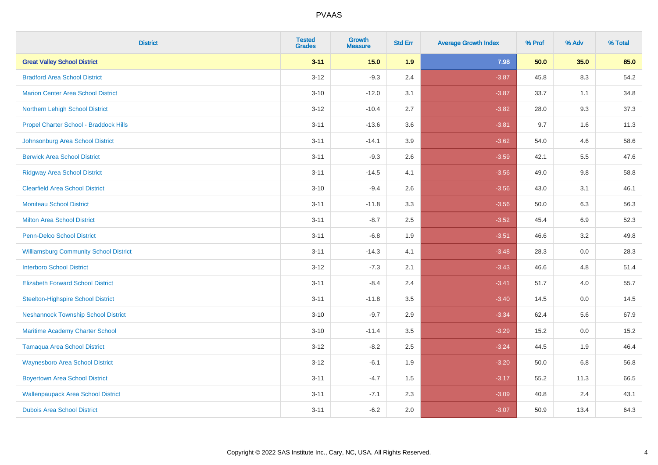| <b>District</b>                               | <b>Tested</b><br><b>Grades</b> | <b>Growth</b><br><b>Measure</b> | <b>Std Err</b> | <b>Average Growth Index</b> | % Prof | % Adv   | % Total |
|-----------------------------------------------|--------------------------------|---------------------------------|----------------|-----------------------------|--------|---------|---------|
| <b>Great Valley School District</b>           | $3 - 11$                       | 15.0                            | 1.9            | 7.98                        | 50.0   | 35.0    | 85.0    |
| <b>Bradford Area School District</b>          | $3 - 12$                       | $-9.3$                          | 2.4            | $-3.87$                     | 45.8   | $8.3\,$ | 54.2    |
| <b>Marion Center Area School District</b>     | $3 - 10$                       | $-12.0$                         | 3.1            | $-3.87$                     | 33.7   | 1.1     | 34.8    |
| Northern Lehigh School District               | $3 - 12$                       | $-10.4$                         | 2.7            | $-3.82$                     | 28.0   | 9.3     | 37.3    |
| Propel Charter School - Braddock Hills        | $3 - 11$                       | $-13.6$                         | 3.6            | $-3.81$                     | 9.7    | 1.6     | 11.3    |
| Johnsonburg Area School District              | $3 - 11$                       | $-14.1$                         | 3.9            | $-3.62$                     | 54.0   | 4.6     | 58.6    |
| <b>Berwick Area School District</b>           | $3 - 11$                       | $-9.3$                          | 2.6            | $-3.59$                     | 42.1   | 5.5     | 47.6    |
| <b>Ridgway Area School District</b>           | $3 - 11$                       | $-14.5$                         | 4.1            | $-3.56$                     | 49.0   | 9.8     | 58.8    |
| <b>Clearfield Area School District</b>        | $3 - 10$                       | $-9.4$                          | 2.6            | $-3.56$                     | 43.0   | 3.1     | 46.1    |
| <b>Moniteau School District</b>               | $3 - 11$                       | $-11.8$                         | 3.3            | $-3.56$                     | 50.0   | 6.3     | 56.3    |
| <b>Milton Area School District</b>            | $3 - 11$                       | $-8.7$                          | 2.5            | $-3.52$                     | 45.4   | 6.9     | 52.3    |
| <b>Penn-Delco School District</b>             | $3 - 11$                       | $-6.8$                          | 1.9            | $-3.51$                     | 46.6   | 3.2     | 49.8    |
| <b>Williamsburg Community School District</b> | $3 - 11$                       | $-14.3$                         | 4.1            | $-3.48$                     | 28.3   | 0.0     | 28.3    |
| <b>Interboro School District</b>              | $3 - 12$                       | $-7.3$                          | 2.1            | $-3.43$                     | 46.6   | 4.8     | 51.4    |
| <b>Elizabeth Forward School District</b>      | $3 - 11$                       | $-8.4$                          | 2.4            | $-3.41$                     | 51.7   | 4.0     | 55.7    |
| <b>Steelton-Highspire School District</b>     | $3 - 11$                       | $-11.8$                         | 3.5            | $-3.40$                     | 14.5   | 0.0     | 14.5    |
| <b>Neshannock Township School District</b>    | $3 - 10$                       | $-9.7$                          | 2.9            | $-3.34$                     | 62.4   | 5.6     | 67.9    |
| Maritime Academy Charter School               | $3 - 10$                       | $-11.4$                         | 3.5            | $-3.29$                     | 15.2   | 0.0     | 15.2    |
| <b>Tamaqua Area School District</b>           | $3 - 12$                       | $-8.2$                          | 2.5            | $-3.24$                     | 44.5   | 1.9     | 46.4    |
| <b>Waynesboro Area School District</b>        | $3 - 12$                       | $-6.1$                          | 1.9            | $-3.20$                     | 50.0   | 6.8     | 56.8    |
| <b>Boyertown Area School District</b>         | $3 - 11$                       | $-4.7$                          | 1.5            | $-3.17$                     | 55.2   | 11.3    | 66.5    |
| <b>Wallenpaupack Area School District</b>     | $3 - 11$                       | $-7.1$                          | 2.3            | $-3.09$                     | 40.8   | 2.4     | 43.1    |
| <b>Dubois Area School District</b>            | $3 - 11$                       | $-6.2$                          | 2.0            | $-3.07$                     | 50.9   | 13.4    | 64.3    |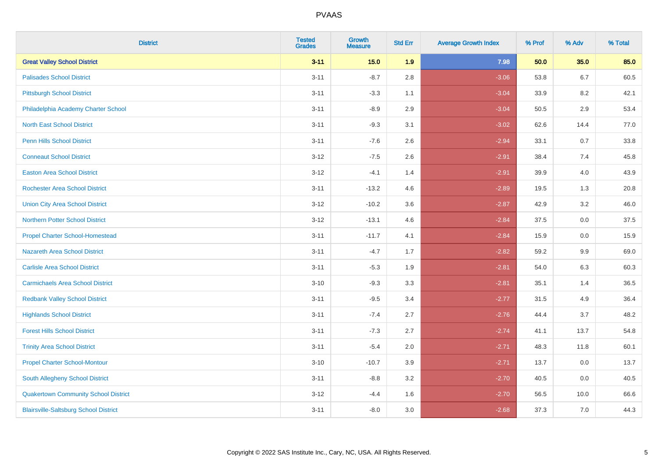| <b>District</b>                              | <b>Tested</b><br><b>Grades</b> | <b>Growth</b><br><b>Measure</b> | <b>Std Err</b> | <b>Average Growth Index</b> | % Prof | % Adv   | % Total |
|----------------------------------------------|--------------------------------|---------------------------------|----------------|-----------------------------|--------|---------|---------|
| <b>Great Valley School District</b>          | $3 - 11$                       | 15.0                            | 1.9            | 7.98                        | 50.0   | 35.0    | 85.0    |
| <b>Palisades School District</b>             | $3 - 11$                       | $-8.7$                          | 2.8            | $-3.06$                     | 53.8   | 6.7     | 60.5    |
| <b>Pittsburgh School District</b>            | $3 - 11$                       | $-3.3$                          | 1.1            | $-3.04$                     | 33.9   | 8.2     | 42.1    |
| Philadelphia Academy Charter School          | $3 - 11$                       | $-8.9$                          | 2.9            | $-3.04$                     | 50.5   | $2.9\,$ | 53.4    |
| <b>North East School District</b>            | $3 - 11$                       | $-9.3$                          | 3.1            | $-3.02$                     | 62.6   | 14.4    | 77.0    |
| <b>Penn Hills School District</b>            | $3 - 11$                       | $-7.6$                          | 2.6            | $-2.94$                     | 33.1   | 0.7     | 33.8    |
| <b>Conneaut School District</b>              | $3 - 12$                       | $-7.5$                          | 2.6            | $-2.91$                     | 38.4   | 7.4     | 45.8    |
| <b>Easton Area School District</b>           | $3 - 12$                       | $-4.1$                          | 1.4            | $-2.91$                     | 39.9   | 4.0     | 43.9    |
| <b>Rochester Area School District</b>        | $3 - 11$                       | $-13.2$                         | 4.6            | $-2.89$                     | 19.5   | 1.3     | 20.8    |
| <b>Union City Area School District</b>       | $3 - 12$                       | $-10.2$                         | 3.6            | $-2.87$                     | 42.9   | $3.2\,$ | 46.0    |
| <b>Northern Potter School District</b>       | $3 - 12$                       | $-13.1$                         | 4.6            | $-2.84$                     | 37.5   | $0.0\,$ | 37.5    |
| <b>Propel Charter School-Homestead</b>       | $3 - 11$                       | $-11.7$                         | 4.1            | $-2.84$                     | 15.9   | 0.0     | 15.9    |
| Nazareth Area School District                | $3 - 11$                       | $-4.7$                          | 1.7            | $-2.82$                     | 59.2   | 9.9     | 69.0    |
| <b>Carlisle Area School District</b>         | $3 - 11$                       | $-5.3$                          | 1.9            | $-2.81$                     | 54.0   | 6.3     | 60.3    |
| <b>Carmichaels Area School District</b>      | $3 - 10$                       | $-9.3$                          | 3.3            | $-2.81$                     | 35.1   | 1.4     | 36.5    |
| <b>Redbank Valley School District</b>        | $3 - 11$                       | $-9.5$                          | 3.4            | $-2.77$                     | 31.5   | 4.9     | 36.4    |
| <b>Highlands School District</b>             | $3 - 11$                       | $-7.4$                          | 2.7            | $-2.76$                     | 44.4   | 3.7     | 48.2    |
| <b>Forest Hills School District</b>          | $3 - 11$                       | $-7.3$                          | 2.7            | $-2.74$                     | 41.1   | 13.7    | 54.8    |
| <b>Trinity Area School District</b>          | $3 - 11$                       | $-5.4$                          | 2.0            | $-2.71$                     | 48.3   | 11.8    | 60.1    |
| <b>Propel Charter School-Montour</b>         | $3 - 10$                       | $-10.7$                         | 3.9            | $-2.71$                     | 13.7   | $0.0\,$ | 13.7    |
| South Allegheny School District              | $3 - 11$                       | $-8.8$                          | 3.2            | $-2.70$                     | 40.5   | 0.0     | 40.5    |
| <b>Quakertown Community School District</b>  | $3 - 12$                       | $-4.4$                          | 1.6            | $-2.70$                     | 56.5   | 10.0    | 66.6    |
| <b>Blairsville-Saltsburg School District</b> | $3 - 11$                       | $-8.0$                          | 3.0            | $-2.68$                     | 37.3   | 7.0     | 44.3    |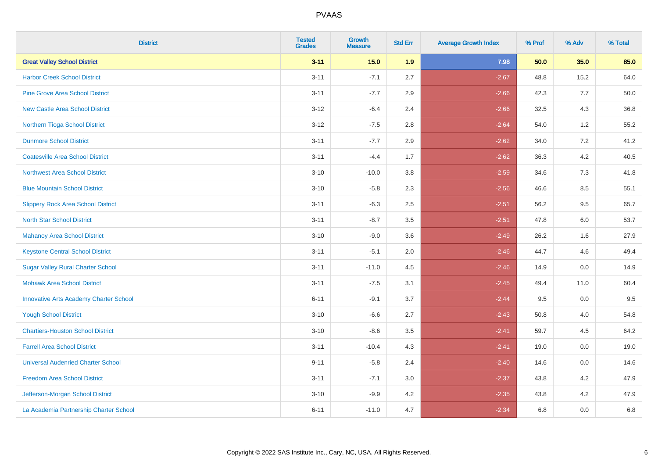| <b>District</b>                               | <b>Tested</b><br><b>Grades</b> | <b>Growth</b><br><b>Measure</b> | <b>Std Err</b> | <b>Average Growth Index</b> | % Prof | % Adv   | % Total |
|-----------------------------------------------|--------------------------------|---------------------------------|----------------|-----------------------------|--------|---------|---------|
| <b>Great Valley School District</b>           | $3 - 11$                       | $15.0$                          | 1.9            | 7.98                        | 50.0   | 35.0    | 85.0    |
| <b>Harbor Creek School District</b>           | $3 - 11$                       | $-7.1$                          | 2.7            | $-2.67$                     | 48.8   | 15.2    | 64.0    |
| <b>Pine Grove Area School District</b>        | $3 - 11$                       | $-7.7$                          | 2.9            | $-2.66$                     | 42.3   | 7.7     | 50.0    |
| <b>New Castle Area School District</b>        | $3 - 12$                       | $-6.4$                          | 2.4            | $-2.66$                     | 32.5   | $4.3$   | 36.8    |
| Northern Tioga School District                | $3 - 12$                       | $-7.5$                          | 2.8            | $-2.64$                     | 54.0   | 1.2     | 55.2    |
| <b>Dunmore School District</b>                | $3 - 11$                       | $-7.7$                          | 2.9            | $-2.62$                     | 34.0   | 7.2     | 41.2    |
| <b>Coatesville Area School District</b>       | $3 - 11$                       | $-4.4$                          | 1.7            | $-2.62$                     | 36.3   | $4.2\,$ | 40.5    |
| <b>Northwest Area School District</b>         | $3 - 10$                       | $-10.0$                         | 3.8            | $-2.59$                     | 34.6   | 7.3     | 41.8    |
| <b>Blue Mountain School District</b>          | $3 - 10$                       | $-5.8$                          | 2.3            | $-2.56$                     | 46.6   | 8.5     | 55.1    |
| <b>Slippery Rock Area School District</b>     | $3 - 11$                       | $-6.3$                          | 2.5            | $-2.51$                     | 56.2   | $9.5\,$ | 65.7    |
| <b>North Star School District</b>             | $3 - 11$                       | $-8.7$                          | 3.5            | $-2.51$                     | 47.8   | 6.0     | 53.7    |
| Mahanoy Area School District                  | $3 - 10$                       | $-9.0$                          | 3.6            | $-2.49$                     | 26.2   | 1.6     | 27.9    |
| <b>Keystone Central School District</b>       | $3 - 11$                       | $-5.1$                          | 2.0            | $-2.46$                     | 44.7   | 4.6     | 49.4    |
| <b>Sugar Valley Rural Charter School</b>      | $3 - 11$                       | $-11.0$                         | 4.5            | $-2.46$                     | 14.9   | $0.0\,$ | 14.9    |
| <b>Mohawk Area School District</b>            | $3 - 11$                       | $-7.5$                          | 3.1            | $-2.45$                     | 49.4   | 11.0    | 60.4    |
| <b>Innovative Arts Academy Charter School</b> | $6 - 11$                       | $-9.1$                          | 3.7            | $-2.44$                     | 9.5    | 0.0     | 9.5     |
| <b>Yough School District</b>                  | $3 - 10$                       | $-6.6$                          | 2.7            | $-2.43$                     | 50.8   | 4.0     | 54.8    |
| <b>Chartiers-Houston School District</b>      | $3 - 10$                       | $-8.6$                          | 3.5            | $-2.41$                     | 59.7   | 4.5     | 64.2    |
| <b>Farrell Area School District</b>           | $3 - 11$                       | $-10.4$                         | 4.3            | $-2.41$                     | 19.0   | 0.0     | 19.0    |
| <b>Universal Audenried Charter School</b>     | $9 - 11$                       | $-5.8$                          | 2.4            | $-2.40$                     | 14.6   | 0.0     | 14.6    |
| <b>Freedom Area School District</b>           | $3 - 11$                       | $-7.1$                          | 3.0            | $-2.37$                     | 43.8   | 4.2     | 47.9    |
| Jefferson-Morgan School District              | $3 - 10$                       | $-9.9$                          | 4.2            | $-2.35$                     | 43.8   | 4.2     | 47.9    |
| La Academia Partnership Charter School        | $6 - 11$                       | $-11.0$                         | 4.7            | $-2.34$                     | 6.8    | 0.0     | 6.8     |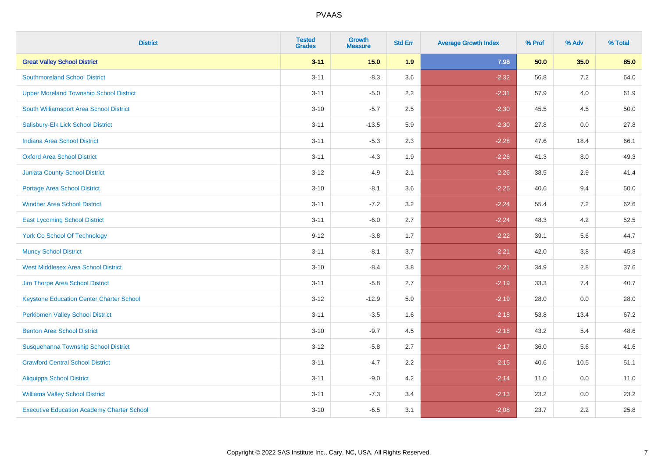| <b>District</b>                                   | <b>Tested</b><br><b>Grades</b> | <b>Growth</b><br><b>Measure</b> | <b>Std Err</b> | <b>Average Growth Index</b> | % Prof | % Adv   | % Total |
|---------------------------------------------------|--------------------------------|---------------------------------|----------------|-----------------------------|--------|---------|---------|
| <b>Great Valley School District</b>               | $3 - 11$                       | 15.0                            | 1.9            | 7.98                        | 50.0   | 35.0    | 85.0    |
| <b>Southmoreland School District</b>              | $3 - 11$                       | $-8.3$                          | 3.6            | $-2.32$                     | 56.8   | 7.2     | 64.0    |
| <b>Upper Moreland Township School District</b>    | $3 - 11$                       | $-5.0$                          | 2.2            | $-2.31$                     | 57.9   | 4.0     | 61.9    |
| South Williamsport Area School District           | $3 - 10$                       | $-5.7$                          | 2.5            | $-2.30$                     | 45.5   | 4.5     | 50.0    |
| Salisbury-Elk Lick School District                | $3 - 11$                       | $-13.5$                         | 5.9            | $-2.30$                     | 27.8   | 0.0     | 27.8    |
| <b>Indiana Area School District</b>               | $3 - 11$                       | $-5.3$                          | 2.3            | $-2.28$                     | 47.6   | 18.4    | 66.1    |
| <b>Oxford Area School District</b>                | $3 - 11$                       | $-4.3$                          | 1.9            | $-2.26$                     | 41.3   | $8.0\,$ | 49.3    |
| <b>Juniata County School District</b>             | $3 - 12$                       | $-4.9$                          | 2.1            | $-2.26$                     | 38.5   | 2.9     | 41.4    |
| Portage Area School District                      | $3 - 10$                       | $-8.1$                          | 3.6            | $-2.26$                     | 40.6   | 9.4     | 50.0    |
| <b>Windber Area School District</b>               | $3 - 11$                       | $-7.2$                          | 3.2            | $-2.24$                     | 55.4   | 7.2     | 62.6    |
| <b>East Lycoming School District</b>              | $3 - 11$                       | $-6.0$                          | 2.7            | $-2.24$                     | 48.3   | 4.2     | 52.5    |
| <b>York Co School Of Technology</b>               | $9 - 12$                       | $-3.8$                          | 1.7            | $-2.22$                     | 39.1   | 5.6     | 44.7    |
| <b>Muncy School District</b>                      | $3 - 11$                       | $-8.1$                          | 3.7            | $-2.21$                     | 42.0   | 3.8     | 45.8    |
| <b>West Middlesex Area School District</b>        | $3 - 10$                       | $-8.4$                          | 3.8            | $-2.21$                     | 34.9   | 2.8     | 37.6    |
| Jim Thorpe Area School District                   | $3 - 11$                       | $-5.8$                          | 2.7            | $-2.19$                     | 33.3   | 7.4     | 40.7    |
| <b>Keystone Education Center Charter School</b>   | $3 - 12$                       | $-12.9$                         | 5.9            | $-2.19$                     | 28.0   | 0.0     | 28.0    |
| <b>Perkiomen Valley School District</b>           | $3 - 11$                       | $-3.5$                          | 1.6            | $-2.18$                     | 53.8   | 13.4    | 67.2    |
| <b>Benton Area School District</b>                | $3 - 10$                       | $-9.7$                          | 4.5            | $-2.18$                     | 43.2   | 5.4     | 48.6    |
| Susquehanna Township School District              | $3 - 12$                       | $-5.8$                          | 2.7            | $-2.17$                     | 36.0   | 5.6     | 41.6    |
| <b>Crawford Central School District</b>           | $3 - 11$                       | $-4.7$                          | 2.2            | $-2.15$                     | 40.6   | 10.5    | 51.1    |
| <b>Aliquippa School District</b>                  | $3 - 11$                       | $-9.0$                          | 4.2            | $-2.14$                     | 11.0   | 0.0     | 11.0    |
| <b>Williams Valley School District</b>            | $3 - 11$                       | $-7.3$                          | 3.4            | $-2.13$                     | 23.2   | 0.0     | 23.2    |
| <b>Executive Education Academy Charter School</b> | $3 - 10$                       | $-6.5$                          | 3.1            | $-2.08$                     | 23.7   | 2.2     | 25.8    |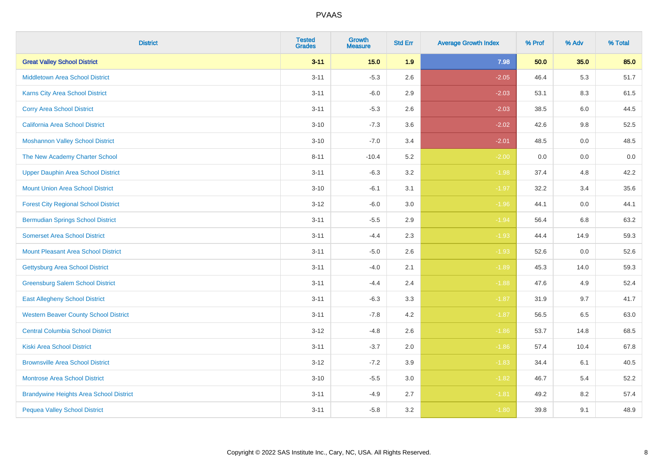| <b>District</b>                                | <b>Tested</b><br><b>Grades</b> | <b>Growth</b><br><b>Measure</b> | <b>Std Err</b> | <b>Average Growth Index</b> | % Prof | % Adv | % Total |
|------------------------------------------------|--------------------------------|---------------------------------|----------------|-----------------------------|--------|-------|---------|
| <b>Great Valley School District</b>            | $3 - 11$                       | 15.0                            | 1.9            | 7.98                        | 50.0   | 35.0  | 85.0    |
| <b>Middletown Area School District</b>         | $3 - 11$                       | $-5.3$                          | 2.6            | $-2.05$                     | 46.4   | 5.3   | 51.7    |
| <b>Karns City Area School District</b>         | $3 - 11$                       | $-6.0$                          | 2.9            | $-2.03$                     | 53.1   | 8.3   | 61.5    |
| <b>Corry Area School District</b>              | $3 - 11$                       | $-5.3$                          | 2.6            | $-2.03$                     | 38.5   | 6.0   | 44.5    |
| <b>California Area School District</b>         | $3 - 10$                       | $-7.3$                          | 3.6            | $-2.02$                     | 42.6   | 9.8   | 52.5    |
| <b>Moshannon Valley School District</b>        | $3 - 10$                       | $-7.0$                          | 3.4            | $-2.01$                     | 48.5   | 0.0   | 48.5    |
| The New Academy Charter School                 | $8 - 11$                       | $-10.4$                         | 5.2            | $-2.00$                     | 0.0    | 0.0   | 0.0     |
| <b>Upper Dauphin Area School District</b>      | $3 - 11$                       | $-6.3$                          | 3.2            | $-1.98$                     | 37.4   | 4.8   | 42.2    |
| <b>Mount Union Area School District</b>        | $3 - 10$                       | $-6.1$                          | 3.1            | $-1.97$                     | 32.2   | 3.4   | 35.6    |
| <b>Forest City Regional School District</b>    | $3 - 12$                       | $-6.0$                          | 3.0            | $-1.96$                     | 44.1   | 0.0   | 44.1    |
| <b>Bermudian Springs School District</b>       | $3 - 11$                       | $-5.5$                          | 2.9            | $-1.94$                     | 56.4   | 6.8   | 63.2    |
| <b>Somerset Area School District</b>           | $3 - 11$                       | $-4.4$                          | 2.3            | $-1.93$                     | 44.4   | 14.9  | 59.3    |
| <b>Mount Pleasant Area School District</b>     | $3 - 11$                       | $-5.0$                          | 2.6            | $-1.93$                     | 52.6   | 0.0   | 52.6    |
| <b>Gettysburg Area School District</b>         | $3 - 11$                       | $-4.0$                          | 2.1            | $-1.89$                     | 45.3   | 14.0  | 59.3    |
| <b>Greensburg Salem School District</b>        | $3 - 11$                       | $-4.4$                          | 2.4            | $-1.88$                     | 47.6   | 4.9   | 52.4    |
| <b>East Allegheny School District</b>          | $3 - 11$                       | $-6.3$                          | 3.3            | $-1.87$                     | 31.9   | 9.7   | 41.7    |
| <b>Western Beaver County School District</b>   | $3 - 11$                       | $-7.8$                          | 4.2            | $-1.87$                     | 56.5   | 6.5   | 63.0    |
| <b>Central Columbia School District</b>        | $3 - 12$                       | $-4.8$                          | 2.6            | $-1.86$                     | 53.7   | 14.8  | 68.5    |
| <b>Kiski Area School District</b>              | $3 - 11$                       | $-3.7$                          | 2.0            | $-1.86$                     | 57.4   | 10.4  | 67.8    |
| <b>Brownsville Area School District</b>        | $3 - 12$                       | $-7.2$                          | 3.9            | $-1.83$                     | 34.4   | 6.1   | 40.5    |
| <b>Montrose Area School District</b>           | $3 - 10$                       | $-5.5$                          | 3.0            | $-1.82$                     | 46.7   | 5.4   | 52.2    |
| <b>Brandywine Heights Area School District</b> | $3 - 11$                       | $-4.9$                          | 2.7            | $-1.81$                     | 49.2   | 8.2   | 57.4    |
| <b>Pequea Valley School District</b>           | $3 - 11$                       | $-5.8$                          | 3.2            | $-1.80$                     | 39.8   | 9.1   | 48.9    |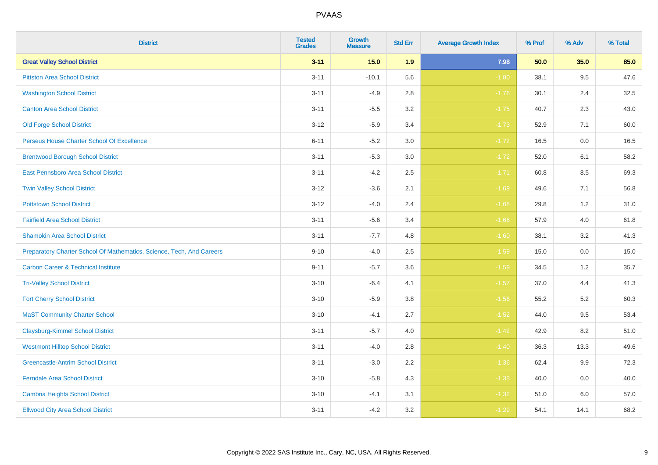| <b>District</b>                                                       | <b>Tested</b><br><b>Grades</b> | Growth<br><b>Measure</b> | <b>Std Err</b> | <b>Average Growth Index</b> | % Prof | % Adv   | % Total |
|-----------------------------------------------------------------------|--------------------------------|--------------------------|----------------|-----------------------------|--------|---------|---------|
| <b>Great Valley School District</b>                                   | $3 - 11$                       | 15.0                     | 1.9            | 7.98                        | 50.0   | 35.0    | 85.0    |
| <b>Pittston Area School District</b>                                  | $3 - 11$                       | $-10.1$                  | 5.6            | $-1.80$                     | 38.1   | 9.5     | 47.6    |
| <b>Washington School District</b>                                     | $3 - 11$                       | $-4.9$                   | 2.8            | $-1.76$                     | 30.1   | 2.4     | 32.5    |
| <b>Canton Area School District</b>                                    | $3 - 11$                       | $-5.5$                   | $3.2\,$        | $-1.75$                     | 40.7   | 2.3     | 43.0    |
| <b>Old Forge School District</b>                                      | $3 - 12$                       | $-5.9$                   | 3.4            | $-1.73$                     | 52.9   | 7.1     | 60.0    |
| Perseus House Charter School Of Excellence                            | $6 - 11$                       | $-5.2$                   | 3.0            | $-1.72$                     | 16.5   | 0.0     | 16.5    |
| <b>Brentwood Borough School District</b>                              | $3 - 11$                       | $-5.3$                   | $3.0\,$        | $-1.72$                     | 52.0   | 6.1     | 58.2    |
| East Pennsboro Area School District                                   | $3 - 11$                       | $-4.2$                   | 2.5            | $-1.71$                     | 60.8   | 8.5     | 69.3    |
| <b>Twin Valley School District</b>                                    | $3 - 12$                       | $-3.6$                   | 2.1            | $-1.69$                     | 49.6   | 7.1     | 56.8    |
| <b>Pottstown School District</b>                                      | $3 - 12$                       | $-4.0$                   | 2.4            | $-1.68$                     | 29.8   | 1.2     | 31.0    |
| <b>Fairfield Area School District</b>                                 | $3 - 11$                       | $-5.6$                   | 3.4            | $-1.66$                     | 57.9   | 4.0     | 61.8    |
| <b>Shamokin Area School District</b>                                  | $3 - 11$                       | $-7.7$                   | 4.8            | $-1.60$                     | 38.1   | 3.2     | 41.3    |
| Preparatory Charter School Of Mathematics, Science, Tech, And Careers | $9 - 10$                       | $-4.0$                   | 2.5            | $-1.59$                     | 15.0   | $0.0\,$ | 15.0    |
| <b>Carbon Career &amp; Technical Institute</b>                        | $9 - 11$                       | $-5.7$                   | 3.6            | $-1.59$                     | 34.5   | 1.2     | 35.7    |
| <b>Tri-Valley School District</b>                                     | $3 - 10$                       | $-6.4$                   | 4.1            | $-1.57$                     | 37.0   | 4.4     | 41.3    |
| <b>Fort Cherry School District</b>                                    | $3 - 10$                       | $-5.9$                   | 3.8            | $-1.56$                     | 55.2   | 5.2     | 60.3    |
| <b>MaST Community Charter School</b>                                  | $3 - 10$                       | $-4.1$                   | 2.7            | $-1.52$                     | 44.0   | 9.5     | 53.4    |
| <b>Claysburg-Kimmel School District</b>                               | $3 - 11$                       | $-5.7$                   | 4.0            | $-1.42$                     | 42.9   | 8.2     | 51.0    |
| <b>Westmont Hilltop School District</b>                               | $3 - 11$                       | $-4.0$                   | 2.8            | $-1.40$                     | 36.3   | 13.3    | 49.6    |
| <b>Greencastle-Antrim School District</b>                             | $3 - 11$                       | $-3.0$                   | 2.2            | $-1.36$                     | 62.4   | 9.9     | 72.3    |
| <b>Ferndale Area School District</b>                                  | $3 - 10$                       | $-5.8$                   | 4.3            | $-1.33$                     | 40.0   | 0.0     | 40.0    |
| <b>Cambria Heights School District</b>                                | $3 - 10$                       | $-4.1$                   | 3.1            | $-1.32$                     | 51.0   | 6.0     | 57.0    |
| <b>Ellwood City Area School District</b>                              | $3 - 11$                       | $-4.2$                   | 3.2            | $-1.29$                     | 54.1   | 14.1    | 68.2    |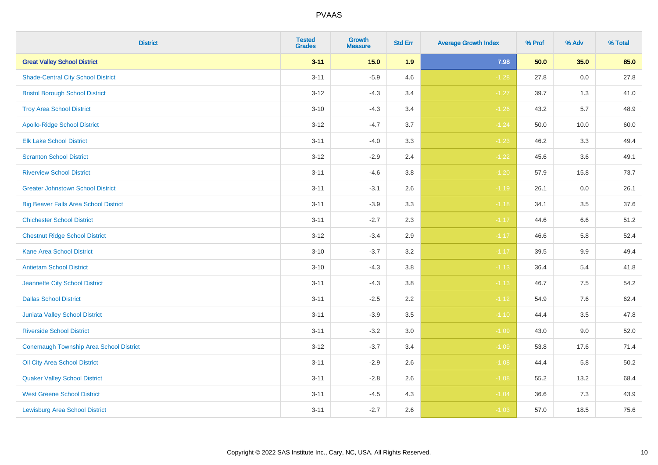| <b>District</b>                              | <b>Tested</b><br><b>Grades</b> | Growth<br><b>Measure</b> | <b>Std Err</b> | <b>Average Growth Index</b> | % Prof | % Adv   | % Total |
|----------------------------------------------|--------------------------------|--------------------------|----------------|-----------------------------|--------|---------|---------|
| <b>Great Valley School District</b>          | $3 - 11$                       | 15.0                     | 1.9            | 7.98                        | 50.0   | 35.0    | 85.0    |
| <b>Shade-Central City School District</b>    | $3 - 11$                       | $-5.9$                   | 4.6            | $-1.28$                     | 27.8   | 0.0     | 27.8    |
| <b>Bristol Borough School District</b>       | $3 - 12$                       | $-4.3$                   | 3.4            | $-1.27$                     | 39.7   | 1.3     | 41.0    |
| <b>Troy Area School District</b>             | $3 - 10$                       | $-4.3$                   | 3.4            | $-1.26$                     | 43.2   | 5.7     | 48.9    |
| <b>Apollo-Ridge School District</b>          | $3 - 12$                       | $-4.7$                   | 3.7            | $-1.24$                     | 50.0   | 10.0    | 60.0    |
| <b>Elk Lake School District</b>              | $3 - 11$                       | $-4.0$                   | 3.3            | $-1.23$                     | 46.2   | 3.3     | 49.4    |
| <b>Scranton School District</b>              | $3 - 12$                       | $-2.9$                   | 2.4            | $-1.22$                     | 45.6   | 3.6     | 49.1    |
| <b>Riverview School District</b>             | $3 - 11$                       | $-4.6$                   | 3.8            | $-1.20$                     | 57.9   | 15.8    | 73.7    |
| <b>Greater Johnstown School District</b>     | $3 - 11$                       | $-3.1$                   | 2.6            | $-1.19$                     | 26.1   | 0.0     | 26.1    |
| <b>Big Beaver Falls Area School District</b> | $3 - 11$                       | $-3.9$                   | 3.3            | $-1.18$                     | 34.1   | 3.5     | 37.6    |
| <b>Chichester School District</b>            | $3 - 11$                       | $-2.7$                   | 2.3            | $-1.17$                     | 44.6   | 6.6     | 51.2    |
| <b>Chestnut Ridge School District</b>        | $3 - 12$                       | $-3.4$                   | 2.9            | $-1.17$                     | 46.6   | 5.8     | 52.4    |
| <b>Kane Area School District</b>             | $3 - 10$                       | $-3.7$                   | 3.2            | $-1.17$                     | 39.5   | 9.9     | 49.4    |
| <b>Antietam School District</b>              | $3 - 10$                       | $-4.3$                   | 3.8            | $-1.13$                     | 36.4   | $5.4$   | 41.8    |
| Jeannette City School District               | $3 - 11$                       | $-4.3$                   | 3.8            | $-1.13$                     | 46.7   | 7.5     | 54.2    |
| <b>Dallas School District</b>                | $3 - 11$                       | $-2.5$                   | 2.2            | $-1.12$                     | 54.9   | $7.6\,$ | 62.4    |
| Juniata Valley School District               | $3 - 11$                       | $-3.9$                   | 3.5            | $-1.10$                     | 44.4   | 3.5     | 47.8    |
| <b>Riverside School District</b>             | $3 - 11$                       | $-3.2$                   | 3.0            | $-1.09$                     | 43.0   | 9.0     | 52.0    |
| Conemaugh Township Area School District      | $3 - 12$                       | $-3.7$                   | 3.4            | $-1.09$                     | 53.8   | 17.6    | 71.4    |
| Oil City Area School District                | $3 - 11$                       | $-2.9$                   | 2.6            | $-1.08$                     | 44.4   | 5.8     | 50.2    |
| <b>Quaker Valley School District</b>         | $3 - 11$                       | $-2.8$                   | 2.6            | $-1.08$                     | 55.2   | 13.2    | 68.4    |
| <b>West Greene School District</b>           | $3 - 11$                       | $-4.5$                   | 4.3            | $-1.04$                     | 36.6   | 7.3     | 43.9    |
| <b>Lewisburg Area School District</b>        | $3 - 11$                       | $-2.7$                   | 2.6            | $-1.03$                     | 57.0   | 18.5    | 75.6    |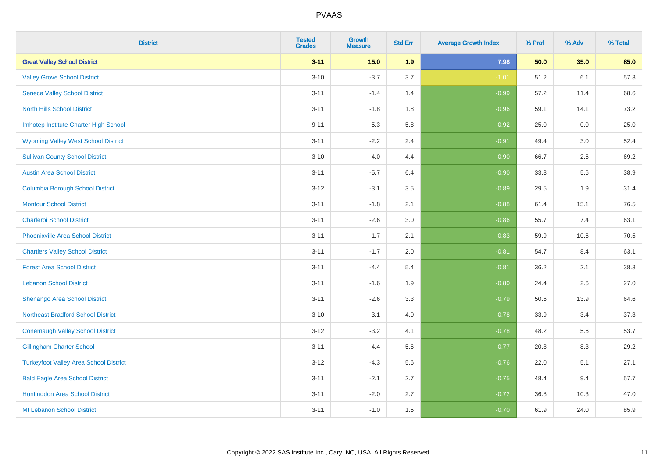| <b>District</b>                               | <b>Tested</b><br><b>Grades</b> | <b>Growth</b><br><b>Measure</b> | <b>Std Err</b> | <b>Average Growth Index</b> | % Prof | % Adv | % Total |
|-----------------------------------------------|--------------------------------|---------------------------------|----------------|-----------------------------|--------|-------|---------|
| <b>Great Valley School District</b>           | $3 - 11$                       | 15.0                            | 1.9            | 7.98                        | 50.0   | 35.0  | 85.0    |
| <b>Valley Grove School District</b>           | $3 - 10$                       | $-3.7$                          | 3.7            | $-1.01$                     | 51.2   | 6.1   | 57.3    |
| <b>Seneca Valley School District</b>          | $3 - 11$                       | $-1.4$                          | 1.4            | $-0.99$                     | 57.2   | 11.4  | 68.6    |
| <b>North Hills School District</b>            | $3 - 11$                       | $-1.8$                          | 1.8            | $-0.96$                     | 59.1   | 14.1  | 73.2    |
| Imhotep Institute Charter High School         | $9 - 11$                       | $-5.3$                          | 5.8            | $-0.92$                     | 25.0   | 0.0   | 25.0    |
| <b>Wyoming Valley West School District</b>    | $3 - 11$                       | $-2.2$                          | 2.4            | $-0.91$                     | 49.4   | 3.0   | 52.4    |
| <b>Sullivan County School District</b>        | $3 - 10$                       | $-4.0$                          | 4.4            | $-0.90$                     | 66.7   | 2.6   | 69.2    |
| <b>Austin Area School District</b>            | $3 - 11$                       | $-5.7$                          | 6.4            | $-0.90$                     | 33.3   | 5.6   | 38.9    |
| <b>Columbia Borough School District</b>       | $3 - 12$                       | $-3.1$                          | 3.5            | $-0.89$                     | 29.5   | 1.9   | 31.4    |
| <b>Montour School District</b>                | $3 - 11$                       | $-1.8$                          | 2.1            | $-0.88$                     | 61.4   | 15.1  | 76.5    |
| <b>Charleroi School District</b>              | $3 - 11$                       | $-2.6$                          | 3.0            | $-0.86$                     | 55.7   | 7.4   | 63.1    |
| <b>Phoenixville Area School District</b>      | $3 - 11$                       | $-1.7$                          | 2.1            | $-0.83$                     | 59.9   | 10.6  | 70.5    |
| <b>Chartiers Valley School District</b>       | $3 - 11$                       | $-1.7$                          | 2.0            | $-0.81$                     | 54.7   | 8.4   | 63.1    |
| <b>Forest Area School District</b>            | $3 - 11$                       | $-4.4$                          | 5.4            | $-0.81$                     | 36.2   | 2.1   | 38.3    |
| <b>Lebanon School District</b>                | $3 - 11$                       | $-1.6$                          | 1.9            | $-0.80$                     | 24.4   | 2.6   | 27.0    |
| Shenango Area School District                 | $3 - 11$                       | $-2.6$                          | 3.3            | $-0.79$                     | 50.6   | 13.9  | 64.6    |
| <b>Northeast Bradford School District</b>     | $3 - 10$                       | $-3.1$                          | 4.0            | $-0.78$                     | 33.9   | 3.4   | 37.3    |
| <b>Conemaugh Valley School District</b>       | $3 - 12$                       | $-3.2$                          | 4.1            | $-0.78$                     | 48.2   | 5.6   | 53.7    |
| <b>Gillingham Charter School</b>              | $3 - 11$                       | $-4.4$                          | 5.6            | $-0.77$                     | 20.8   | 8.3   | 29.2    |
| <b>Turkeyfoot Valley Area School District</b> | $3 - 12$                       | $-4.3$                          | 5.6            | $-0.76$                     | 22.0   | 5.1   | 27.1    |
| <b>Bald Eagle Area School District</b>        | $3 - 11$                       | $-2.1$                          | 2.7            | $-0.75$                     | 48.4   | 9.4   | 57.7    |
| Huntingdon Area School District               | $3 - 11$                       | $-2.0$                          | 2.7            | $-0.72$                     | 36.8   | 10.3  | 47.0    |
| Mt Lebanon School District                    | $3 - 11$                       | $-1.0$                          | 1.5            | $-0.70$                     | 61.9   | 24.0  | 85.9    |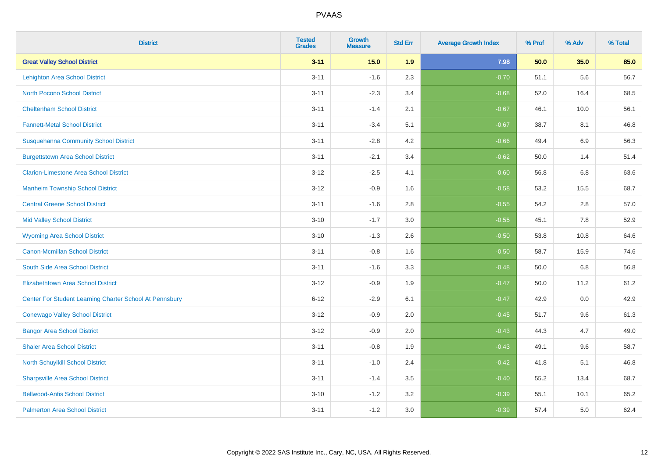| <b>District</b>                                         | <b>Tested</b><br><b>Grades</b> | <b>Growth</b><br><b>Measure</b> | <b>Std Err</b> | <b>Average Growth Index</b> | % Prof | % Adv | % Total |
|---------------------------------------------------------|--------------------------------|---------------------------------|----------------|-----------------------------|--------|-------|---------|
| <b>Great Valley School District</b>                     | $3 - 11$                       | 15.0                            | 1.9            | 7.98                        | 50.0   | 35.0  | 85.0    |
| <b>Lehighton Area School District</b>                   | $3 - 11$                       | $-1.6$                          | 2.3            | $-0.70$                     | 51.1   | 5.6   | 56.7    |
| <b>North Pocono School District</b>                     | $3 - 11$                       | $-2.3$                          | 3.4            | $-0.68$                     | 52.0   | 16.4  | 68.5    |
| <b>Cheltenham School District</b>                       | $3 - 11$                       | $-1.4$                          | 2.1            | $-0.67$                     | 46.1   | 10.0  | 56.1    |
| <b>Fannett-Metal School District</b>                    | $3 - 11$                       | $-3.4$                          | 5.1            | $-0.67$                     | 38.7   | 8.1   | 46.8    |
| <b>Susquehanna Community School District</b>            | $3 - 11$                       | $-2.8$                          | 4.2            | $-0.66$                     | 49.4   | 6.9   | 56.3    |
| <b>Burgettstown Area School District</b>                | $3 - 11$                       | $-2.1$                          | 3.4            | $-0.62$                     | 50.0   | 1.4   | 51.4    |
| <b>Clarion-Limestone Area School District</b>           | $3 - 12$                       | $-2.5$                          | 4.1            | $-0.60$                     | 56.8   | 6.8   | 63.6    |
| <b>Manheim Township School District</b>                 | $3 - 12$                       | $-0.9$                          | 1.6            | $-0.58$                     | 53.2   | 15.5  | 68.7    |
| <b>Central Greene School District</b>                   | $3 - 11$                       | $-1.6$                          | 2.8            | $-0.55$                     | 54.2   | 2.8   | 57.0    |
| <b>Mid Valley School District</b>                       | $3 - 10$                       | $-1.7$                          | 3.0            | $-0.55$                     | 45.1   | 7.8   | 52.9    |
| <b>Wyoming Area School District</b>                     | $3 - 10$                       | $-1.3$                          | 2.6            | $-0.50$                     | 53.8   | 10.8  | 64.6    |
| <b>Canon-Mcmillan School District</b>                   | $3 - 11$                       | $-0.8$                          | 1.6            | $-0.50$                     | 58.7   | 15.9  | 74.6    |
| South Side Area School District                         | $3 - 11$                       | $-1.6$                          | 3.3            | $-0.48$                     | 50.0   | 6.8   | 56.8    |
| <b>Elizabethtown Area School District</b>               | $3 - 12$                       | $-0.9$                          | 1.9            | $-0.47$                     | 50.0   | 11.2  | 61.2    |
| Center For Student Learning Charter School At Pennsbury | $6 - 12$                       | $-2.9$                          | 6.1            | $-0.47$                     | 42.9   | 0.0   | 42.9    |
| <b>Conewago Valley School District</b>                  | $3 - 12$                       | $-0.9$                          | 2.0            | $-0.45$                     | 51.7   | 9.6   | 61.3    |
| <b>Bangor Area School District</b>                      | $3 - 12$                       | $-0.9$                          | 2.0            | $-0.43$                     | 44.3   | 4.7   | 49.0    |
| <b>Shaler Area School District</b>                      | $3 - 11$                       | $-0.8$                          | 1.9            | $-0.43$                     | 49.1   | 9.6   | 58.7    |
| North Schuylkill School District                        | $3 - 11$                       | $-1.0$                          | 2.4            | $-0.42$                     | 41.8   | 5.1   | 46.8    |
| <b>Sharpsville Area School District</b>                 | $3 - 11$                       | $-1.4$                          | 3.5            | $-0.40$                     | 55.2   | 13.4  | 68.7    |
| <b>Bellwood-Antis School District</b>                   | $3 - 10$                       | $-1.2$                          | 3.2            | $-0.39$                     | 55.1   | 10.1  | 65.2    |
| <b>Palmerton Area School District</b>                   | $3 - 11$                       | $-1.2$                          | 3.0            | $-0.39$                     | 57.4   | 5.0   | 62.4    |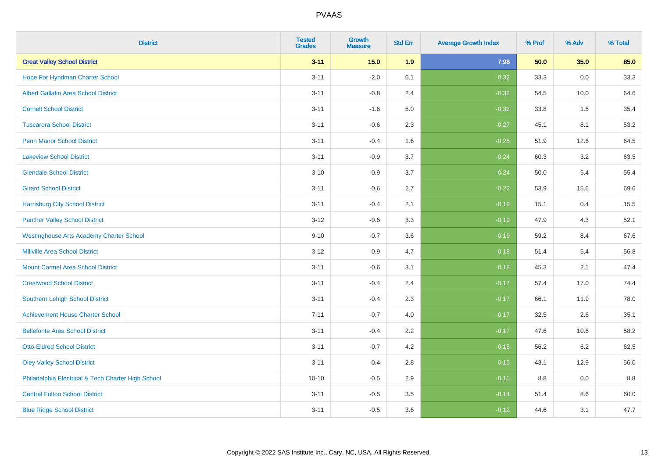| <b>District</b>                                    | <b>Tested</b><br><b>Grades</b> | Growth<br><b>Measure</b> | <b>Std Err</b> | <b>Average Growth Index</b> | % Prof | % Adv   | % Total |
|----------------------------------------------------|--------------------------------|--------------------------|----------------|-----------------------------|--------|---------|---------|
| <b>Great Valley School District</b>                | $3 - 11$                       | 15.0                     | 1.9            | 7.98                        | 50.0   | 35.0    | 85.0    |
| Hope For Hyndman Charter School                    | $3 - 11$                       | $-2.0$                   | 6.1            | $-0.32$                     | 33.3   | 0.0     | 33.3    |
| <b>Albert Gallatin Area School District</b>        | $3 - 11$                       | $-0.8$                   | 2.4            | $-0.32$                     | 54.5   | 10.0    | 64.6    |
| <b>Cornell School District</b>                     | $3 - 11$                       | $-1.6$                   | 5.0            | $-0.32$                     | 33.8   | 1.5     | 35.4    |
| <b>Tuscarora School District</b>                   | $3 - 11$                       | $-0.6$                   | 2.3            | $-0.27$                     | 45.1   | 8.1     | 53.2    |
| <b>Penn Manor School District</b>                  | $3 - 11$                       | $-0.4$                   | 1.6            | $-0.25$                     | 51.9   | 12.6    | 64.5    |
| <b>Lakeview School District</b>                    | $3 - 11$                       | $-0.9$                   | 3.7            | $-0.24$                     | 60.3   | 3.2     | 63.5    |
| <b>Glendale School District</b>                    | $3 - 10$                       | $-0.9$                   | 3.7            | $-0.24$                     | 50.0   | 5.4     | 55.4    |
| <b>Girard School District</b>                      | $3 - 11$                       | $-0.6$                   | 2.7            | $-0.22$                     | 53.9   | 15.6    | 69.6    |
| <b>Harrisburg City School District</b>             | $3 - 11$                       | $-0.4$                   | 2.1            | $-0.19$                     | 15.1   | 0.4     | 15.5    |
| <b>Panther Valley School District</b>              | $3 - 12$                       | $-0.6$                   | 3.3            | $-0.19$                     | 47.9   | 4.3     | 52.1    |
| <b>Westinghouse Arts Academy Charter School</b>    | $9 - 10$                       | $-0.7$                   | 3.6            | $-0.19$                     | 59.2   | 8.4     | 67.6    |
| <b>Millville Area School District</b>              | $3 - 12$                       | $-0.9$                   | 4.7            | $-0.18$                     | 51.4   | 5.4     | 56.8    |
| <b>Mount Carmel Area School District</b>           | $3 - 11$                       | $-0.6$                   | 3.1            | $-0.18$                     | 45.3   | 2.1     | 47.4    |
| <b>Crestwood School District</b>                   | $3 - 11$                       | $-0.4$                   | 2.4            | $-0.17$                     | 57.4   | 17.0    | 74.4    |
| Southern Lehigh School District                    | $3 - 11$                       | $-0.4$                   | 2.3            | $-0.17$                     | 66.1   | 11.9    | 78.0    |
| <b>Achievement House Charter School</b>            | $7 - 11$                       | $-0.7$                   | 4.0            | $-0.17$                     | 32.5   | 2.6     | 35.1    |
| <b>Bellefonte Area School District</b>             | $3 - 11$                       | $-0.4$                   | 2.2            | $-0.17$                     | 47.6   | 10.6    | 58.2    |
| <b>Otto-Eldred School District</b>                 | $3 - 11$                       | $-0.7$                   | 4.2            | $-0.15$                     | 56.2   | $6.2\,$ | 62.5    |
| <b>Oley Valley School District</b>                 | $3 - 11$                       | $-0.4$                   | 2.8            | $-0.15$                     | 43.1   | 12.9    | 56.0    |
| Philadelphia Electrical & Tech Charter High School | $10 - 10$                      | $-0.5$                   | 2.9            | $-0.15$                     | 8.8    | 0.0     | 8.8     |
| <b>Central Fulton School District</b>              | $3 - 11$                       | $-0.5$                   | 3.5            | $-0.14$                     | 51.4   | 8.6     | 60.0    |
| <b>Blue Ridge School District</b>                  | $3 - 11$                       | $-0.5$                   | 3.6            | $-0.12$                     | 44.6   | 3.1     | 47.7    |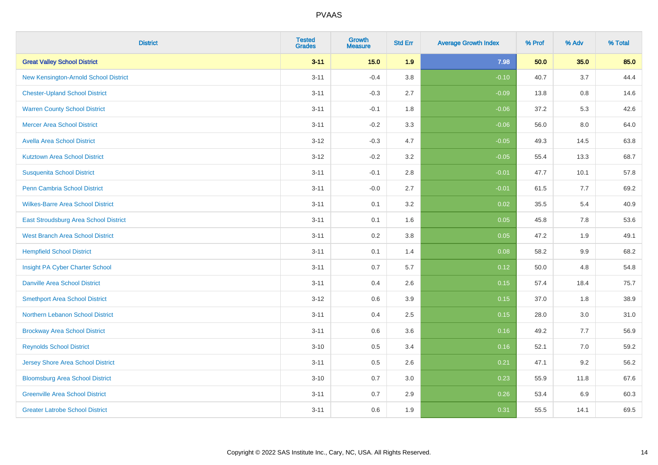| <b>District</b>                          | <b>Tested</b><br><b>Grades</b> | <b>Growth</b><br><b>Measure</b> | <b>Std Err</b> | <b>Average Growth Index</b> | % Prof | % Adv   | % Total |
|------------------------------------------|--------------------------------|---------------------------------|----------------|-----------------------------|--------|---------|---------|
| <b>Great Valley School District</b>      | $3 - 11$                       | 15.0                            | 1.9            | 7.98                        | 50.0   | 35.0    | 85.0    |
| New Kensington-Arnold School District    | $3 - 11$                       | $-0.4$                          | 3.8            | $-0.10$                     | 40.7   | 3.7     | 44.4    |
| <b>Chester-Upland School District</b>    | $3 - 11$                       | $-0.3$                          | 2.7            | $-0.09$                     | 13.8   | $0.8\,$ | 14.6    |
| <b>Warren County School District</b>     | $3 - 11$                       | $-0.1$                          | 1.8            | $-0.06$                     | 37.2   | 5.3     | 42.6    |
| <b>Mercer Area School District</b>       | $3 - 11$                       | $-0.2$                          | 3.3            | $-0.06$                     | 56.0   | 8.0     | 64.0    |
| <b>Avella Area School District</b>       | $3 - 12$                       | $-0.3$                          | 4.7            | $-0.05$                     | 49.3   | 14.5    | 63.8    |
| <b>Kutztown Area School District</b>     | $3 - 12$                       | $-0.2$                          | 3.2            | $-0.05$                     | 55.4   | 13.3    | 68.7    |
| <b>Susquenita School District</b>        | $3 - 11$                       | $-0.1$                          | 2.8            | $-0.01$                     | 47.7   | 10.1    | 57.8    |
| <b>Penn Cambria School District</b>      | $3 - 11$                       | $-0.0$                          | 2.7            | $-0.01$                     | 61.5   | 7.7     | 69.2    |
| <b>Wilkes-Barre Area School District</b> | $3 - 11$                       | 0.1                             | 3.2            | 0.02                        | 35.5   | 5.4     | 40.9    |
| East Stroudsburg Area School District    | $3 - 11$                       | 0.1                             | 1.6            | 0.05                        | 45.8   | 7.8     | 53.6    |
| <b>West Branch Area School District</b>  | $3 - 11$                       | 0.2                             | 3.8            | 0.05                        | 47.2   | 1.9     | 49.1    |
| <b>Hempfield School District</b>         | $3 - 11$                       | 0.1                             | 1.4            | 0.08                        | 58.2   | $9.9\,$ | 68.2    |
| Insight PA Cyber Charter School          | $3 - 11$                       | 0.7                             | 5.7            | 0.12                        | 50.0   | 4.8     | 54.8    |
| <b>Danville Area School District</b>     | $3 - 11$                       | 0.4                             | 2.6            | 0.15                        | 57.4   | 18.4    | 75.7    |
| <b>Smethport Area School District</b>    | $3 - 12$                       | $0.6\,$                         | 3.9            | 0.15                        | 37.0   | 1.8     | 38.9    |
| Northern Lebanon School District         | $3 - 11$                       | 0.4                             | 2.5            | 0.15                        | 28.0   | 3.0     | 31.0    |
| <b>Brockway Area School District</b>     | $3 - 11$                       | 0.6                             | 3.6            | 0.16                        | 49.2   | 7.7     | 56.9    |
| <b>Reynolds School District</b>          | $3 - 10$                       | 0.5                             | 3.4            | 0.16                        | 52.1   | 7.0     | 59.2    |
| <b>Jersey Shore Area School District</b> | $3 - 11$                       | 0.5                             | 2.6            | 0.21                        | 47.1   | 9.2     | 56.2    |
| <b>Bloomsburg Area School District</b>   | $3 - 10$                       | 0.7                             | 3.0            | 0.23                        | 55.9   | 11.8    | 67.6    |
| <b>Greenville Area School District</b>   | $3 - 11$                       | 0.7                             | 2.9            | 0.26                        | 53.4   | 6.9     | 60.3    |
| <b>Greater Latrobe School District</b>   | $3 - 11$                       | 0.6                             | 1.9            | 0.31                        | 55.5   | 14.1    | 69.5    |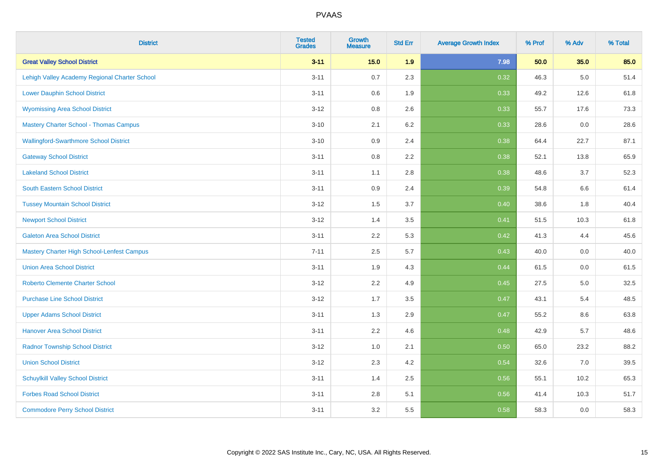| <b>District</b>                                   | <b>Tested</b><br><b>Grades</b> | <b>Growth</b><br><b>Measure</b> | <b>Std Err</b> | <b>Average Growth Index</b> | % Prof | % Adv   | % Total |
|---------------------------------------------------|--------------------------------|---------------------------------|----------------|-----------------------------|--------|---------|---------|
| <b>Great Valley School District</b>               | $3 - 11$                       | 15.0                            | 1.9            | 7.98                        | 50.0   | 35.0    | 85.0    |
| Lehigh Valley Academy Regional Charter School     | $3 - 11$                       | 0.7                             | 2.3            | 0.32                        | 46.3   | $5.0\,$ | 51.4    |
| <b>Lower Dauphin School District</b>              | $3 - 11$                       | 0.6                             | 1.9            | 0.33                        | 49.2   | 12.6    | 61.8    |
| <b>Wyomissing Area School District</b>            | $3 - 12$                       | 0.8                             | 2.6            | 0.33                        | 55.7   | 17.6    | 73.3    |
| <b>Mastery Charter School - Thomas Campus</b>     | $3 - 10$                       | 2.1                             | 6.2            | 0.33                        | 28.6   | 0.0     | 28.6    |
| <b>Wallingford-Swarthmore School District</b>     | $3 - 10$                       | 0.9                             | 2.4            | 0.38                        | 64.4   | 22.7    | 87.1    |
| <b>Gateway School District</b>                    | $3 - 11$                       | 0.8                             | 2.2            | 0.38                        | 52.1   | 13.8    | 65.9    |
| <b>Lakeland School District</b>                   | $3 - 11$                       | 1.1                             | 2.8            | 0.38                        | 48.6   | 3.7     | 52.3    |
| <b>South Eastern School District</b>              | $3 - 11$                       | 0.9                             | 2.4            | 0.39                        | 54.8   | 6.6     | 61.4    |
| <b>Tussey Mountain School District</b>            | $3 - 12$                       | 1.5                             | 3.7            | 0.40                        | 38.6   | 1.8     | 40.4    |
| <b>Newport School District</b>                    | $3 - 12$                       | 1.4                             | 3.5            | 0.41                        | 51.5   | 10.3    | 61.8    |
| <b>Galeton Area School District</b>               | $3 - 11$                       | 2.2                             | 5.3            | 0.42                        | 41.3   | 4.4     | 45.6    |
| <b>Mastery Charter High School-Lenfest Campus</b> | $7 - 11$                       | 2.5                             | 5.7            | 0.43                        | 40.0   | $0.0\,$ | 40.0    |
| <b>Union Area School District</b>                 | $3 - 11$                       | 1.9                             | 4.3            | 0.44                        | 61.5   | 0.0     | 61.5    |
| <b>Roberto Clemente Charter School</b>            | $3 - 12$                       | 2.2                             | 4.9            | 0.45                        | 27.5   | $5.0\,$ | 32.5    |
| <b>Purchase Line School District</b>              | $3 - 12$                       | 1.7                             | 3.5            | 0.47                        | 43.1   | 5.4     | 48.5    |
| <b>Upper Adams School District</b>                | $3 - 11$                       | 1.3                             | 2.9            | 0.47                        | 55.2   | 8.6     | 63.8    |
| <b>Hanover Area School District</b>               | $3 - 11$                       | 2.2                             | 4.6            | 0.48                        | 42.9   | 5.7     | 48.6    |
| <b>Radnor Township School District</b>            | $3 - 12$                       | 1.0                             | 2.1            | 0.50                        | 65.0   | 23.2    | 88.2    |
| <b>Union School District</b>                      | $3 - 12$                       | 2.3                             | 4.2            | 0.54                        | 32.6   | 7.0     | 39.5    |
| <b>Schuylkill Valley School District</b>          | $3 - 11$                       | 1.4                             | 2.5            | 0.56                        | 55.1   | 10.2    | 65.3    |
| <b>Forbes Road School District</b>                | $3 - 11$                       | $2.8\,$                         | 5.1            | 0.56                        | 41.4   | 10.3    | 51.7    |
| <b>Commodore Perry School District</b>            | $3 - 11$                       | 3.2                             | 5.5            | 0.58                        | 58.3   | 0.0     | 58.3    |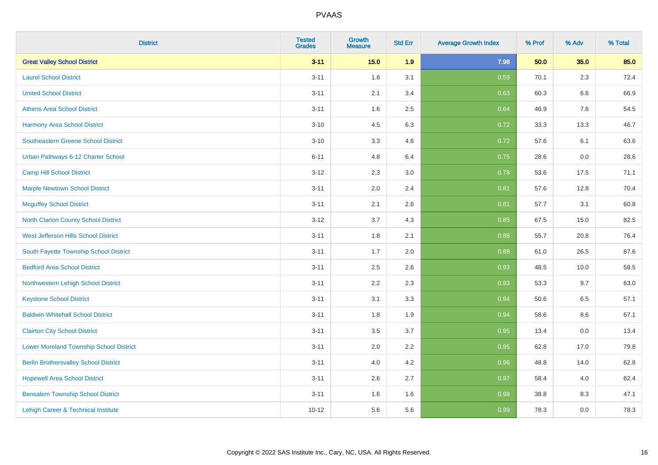| <b>District</b>                                | <b>Tested</b><br><b>Grades</b> | <b>Growth</b><br><b>Measure</b> | <b>Std Err</b> | <b>Average Growth Index</b> | % Prof | % Adv   | % Total |
|------------------------------------------------|--------------------------------|---------------------------------|----------------|-----------------------------|--------|---------|---------|
| <b>Great Valley School District</b>            | $3 - 11$                       | $15.0$                          | 1.9            | 7.98                        | 50.0   | 35.0    | 85.0    |
| <b>Laurel School District</b>                  | $3 - 11$                       | 1.8                             | 3.1            | 0.59                        | 70.1   | 2.3     | 72.4    |
| <b>United School District</b>                  | $3 - 11$                       | 2.1                             | 3.4            | 0.63                        | 60.3   | 6.6     | 66.9    |
| <b>Athens Area School District</b>             | $3 - 11$                       | 1.6                             | 2.5            | 0.64                        | 46.9   | 7.6     | 54.5    |
| <b>Harmony Area School District</b>            | $3 - 10$                       | 4.5                             | 6.3            | 0.72                        | 33.3   | 13.3    | 46.7    |
| <b>Southeastern Greene School District</b>     | $3 - 10$                       | 3.3                             | 4.6            | 0.72                        | 57.6   | 6.1     | 63.6    |
| Urban Pathways 6-12 Charter School             | $6 - 11$                       | 4.8                             | 6.4            | 0.75                        | 28.6   | $0.0\,$ | 28.6    |
| <b>Camp Hill School District</b>               | $3 - 12$                       | 2.3                             | 3.0            | 0.78                        | 53.6   | 17.5    | 71.1    |
| <b>Marple Newtown School District</b>          | $3 - 11$                       | 2.0                             | 2.4            | 0.81                        | 57.6   | 12.8    | 70.4    |
| <b>Mcguffey School District</b>                | $3 - 11$                       | 2.1                             | 2.6            | 0.81                        | 57.7   | 3.1     | 60.8    |
| <b>North Clarion County School District</b>    | $3 - 12$                       | 3.7                             | 4.3            | 0.85                        | 67.5   | 15.0    | 82.5    |
| <b>West Jefferson Hills School District</b>    | $3 - 11$                       | 1.8                             | 2.1            | 0.88                        | 55.7   | 20.8    | 76.4    |
| South Fayette Township School District         | $3 - 11$                       | 1.7                             | 2.0            | 0.88                        | 61.0   | 26.5    | 87.6    |
| <b>Bedford Area School District</b>            | $3 - 11$                       | 2.5                             | 2.6            | 0.93                        | 48.5   | 10.0    | 58.5    |
| Northwestern Lehigh School District            | $3 - 11$                       | 2.2                             | 2.3            | 0.93                        | 53.3   | 9.7     | 63.0    |
| <b>Keystone School District</b>                | $3 - 11$                       | 3.1                             | 3.3            | 0.94                        | 50.6   | 6.5     | 57.1    |
| <b>Baldwin-Whitehall School District</b>       | $3 - 11$                       | 1.8                             | 1.9            | 0.94                        | 58.6   | 8.6     | 67.1    |
| <b>Clairton City School District</b>           | $3 - 11$                       | 3.5                             | 3.7            | 0.95                        | 13.4   | 0.0     | 13.4    |
| <b>Lower Moreland Township School District</b> | $3 - 11$                       | 2.0                             | 2.2            | 0.95                        | 62.8   | 17.0    | 79.8    |
| <b>Berlin Brothersvalley School District</b>   | $3 - 11$                       | 4.0                             | 4.2            | 0.96                        | 48.8   | 14.0    | 62.8    |
| <b>Hopewell Area School District</b>           | $3 - 11$                       | 2.6                             | 2.7            | 0.97                        | 58.4   | 4.0     | 62.4    |
| <b>Bensalem Township School District</b>       | $3 - 11$                       | 1.6                             | 1.6            | 0.98                        | 38.8   | 8.3     | 47.1    |
| Lehigh Career & Technical Institute            | $10 - 12$                      | 5.6                             | 5.6            | 0.99                        | 78.3   | 0.0     | 78.3    |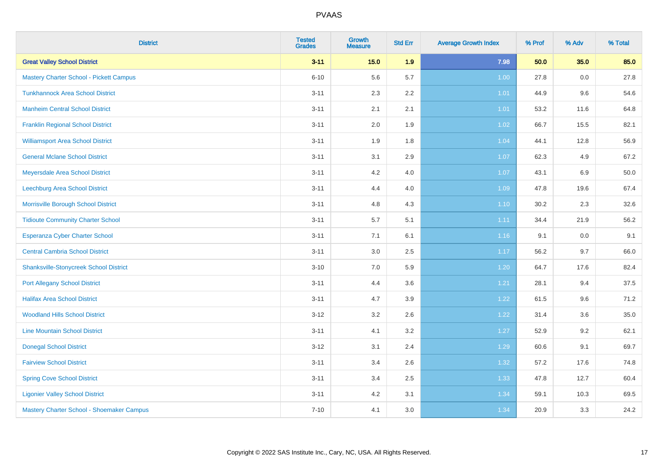| <b>District</b>                                | <b>Tested</b><br><b>Grades</b> | Growth<br><b>Measure</b> | <b>Std Err</b> | <b>Average Growth Index</b> | % Prof | % Adv | % Total |
|------------------------------------------------|--------------------------------|--------------------------|----------------|-----------------------------|--------|-------|---------|
| <b>Great Valley School District</b>            | $3 - 11$                       | 15.0                     | 1.9            | 7.98                        | 50.0   | 35.0  | 85.0    |
| <b>Mastery Charter School - Pickett Campus</b> | $6 - 10$                       | 5.6                      | 5.7            | 1.00                        | 27.8   | 0.0   | 27.8    |
| <b>Tunkhannock Area School District</b>        | $3 - 11$                       | 2.3                      | 2.2            | 1.01                        | 44.9   | 9.6   | 54.6    |
| <b>Manheim Central School District</b>         | $3 - 11$                       | 2.1                      | 2.1            | 1.01                        | 53.2   | 11.6  | 64.8    |
| <b>Franklin Regional School District</b>       | $3 - 11$                       | 2.0                      | 1.9            | 1.02                        | 66.7   | 15.5  | 82.1    |
| <b>Williamsport Area School District</b>       | $3 - 11$                       | 1.9                      | 1.8            | 1.04                        | 44.1   | 12.8  | 56.9    |
| <b>General Mclane School District</b>          | $3 - 11$                       | 3.1                      | 2.9            | 1.07                        | 62.3   | 4.9   | 67.2    |
| Meyersdale Area School District                | $3 - 11$                       | 4.2                      | 4.0            | 1.07                        | 43.1   | 6.9   | 50.0    |
| Leechburg Area School District                 | $3 - 11$                       | 4.4                      | 4.0            | 1.09                        | 47.8   | 19.6  | 67.4    |
| Morrisville Borough School District            | $3 - 11$                       | 4.8                      | 4.3            | 1.10                        | 30.2   | 2.3   | 32.6    |
| <b>Tidioute Community Charter School</b>       | $3 - 11$                       | 5.7                      | 5.1            | 1.11                        | 34.4   | 21.9  | 56.2    |
| Esperanza Cyber Charter School                 | $3 - 11$                       | 7.1                      | 6.1            | 1.16                        | 9.1    | 0.0   | 9.1     |
| <b>Central Cambria School District</b>         | $3 - 11$                       | $3.0\,$                  | 2.5            | 1.17                        | 56.2   | 9.7   | 66.0    |
| <b>Shanksville-Stonycreek School District</b>  | $3 - 10$                       | 7.0                      | 5.9            | 1.20                        | 64.7   | 17.6  | 82.4    |
| <b>Port Allegany School District</b>           | $3 - 11$                       | 4.4                      | 3.6            | 1.21                        | 28.1   | 9.4   | 37.5    |
| <b>Halifax Area School District</b>            | $3 - 11$                       | 4.7                      | 3.9            | 1.22                        | 61.5   | 9.6   | 71.2    |
| <b>Woodland Hills School District</b>          | $3 - 12$                       | 3.2                      | 2.6            | 1.22                        | 31.4   | 3.6   | 35.0    |
| <b>Line Mountain School District</b>           | $3 - 11$                       | 4.1                      | 3.2            | 1.27                        | 52.9   | 9.2   | 62.1    |
| <b>Donegal School District</b>                 | $3 - 12$                       | 3.1                      | 2.4            | 1.29                        | 60.6   | 9.1   | 69.7    |
| <b>Fairview School District</b>                | $3 - 11$                       | 3.4                      | 2.6            | 1.32                        | 57.2   | 17.6  | 74.8    |
| <b>Spring Cove School District</b>             | $3 - 11$                       | 3.4                      | 2.5            | 1.33                        | 47.8   | 12.7  | 60.4    |
| <b>Ligonier Valley School District</b>         | $3 - 11$                       | 4.2                      | 3.1            | 1.34                        | 59.1   | 10.3  | 69.5    |
| Mastery Charter School - Shoemaker Campus      | $7 - 10$                       | 4.1                      | 3.0            | 1.34                        | 20.9   | 3.3   | 24.2    |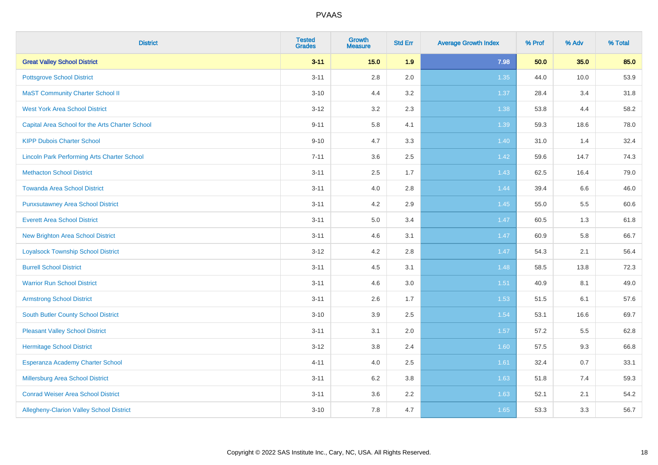| <b>District</b>                                    | <b>Tested</b><br><b>Grades</b> | <b>Growth</b><br><b>Measure</b> | <b>Std Err</b> | <b>Average Growth Index</b> | % Prof | % Adv | % Total |
|----------------------------------------------------|--------------------------------|---------------------------------|----------------|-----------------------------|--------|-------|---------|
| <b>Great Valley School District</b>                | $3 - 11$                       | 15.0                            | 1.9            | 7.98                        | 50.0   | 35.0  | 85.0    |
| <b>Pottsgrove School District</b>                  | $3 - 11$                       | 2.8                             | 2.0            | 1.35                        | 44.0   | 10.0  | 53.9    |
| <b>MaST Community Charter School II</b>            | $3 - 10$                       | 4.4                             | 3.2            | 1.37                        | 28.4   | 3.4   | 31.8    |
| <b>West York Area School District</b>              | $3 - 12$                       | 3.2                             | 2.3            | 1.38                        | 53.8   | 4.4   | 58.2    |
| Capital Area School for the Arts Charter School    | $9 - 11$                       | 5.8                             | 4.1            | 1.39                        | 59.3   | 18.6  | 78.0    |
| <b>KIPP Dubois Charter School</b>                  | $9 - 10$                       | 4.7                             | 3.3            | 1.40                        | 31.0   | 1.4   | 32.4    |
| <b>Lincoln Park Performing Arts Charter School</b> | $7 - 11$                       | 3.6                             | 2.5            | 1.42                        | 59.6   | 14.7  | 74.3    |
| <b>Methacton School District</b>                   | $3 - 11$                       | 2.5                             | 1.7            | 1.43                        | 62.5   | 16.4  | 79.0    |
| <b>Towanda Area School District</b>                | $3 - 11$                       | 4.0                             | 2.8            | 1.44                        | 39.4   | 6.6   | 46.0    |
| <b>Punxsutawney Area School District</b>           | $3 - 11$                       | 4.2                             | 2.9            | 1.45                        | 55.0   | 5.5   | 60.6    |
| <b>Everett Area School District</b>                | $3 - 11$                       | 5.0                             | 3.4            | 1.47                        | 60.5   | 1.3   | 61.8    |
| <b>New Brighton Area School District</b>           | $3 - 11$                       | 4.6                             | 3.1            | 1.47                        | 60.9   | 5.8   | 66.7    |
| <b>Loyalsock Township School District</b>          | $3 - 12$                       | 4.2                             | 2.8            | 1.47                        | 54.3   | 2.1   | 56.4    |
| <b>Burrell School District</b>                     | $3 - 11$                       | 4.5                             | 3.1            | 1.48                        | 58.5   | 13.8  | 72.3    |
| <b>Warrior Run School District</b>                 | $3 - 11$                       | 4.6                             | 3.0            | $1.51$                      | 40.9   | 8.1   | 49.0    |
| <b>Armstrong School District</b>                   | $3 - 11$                       | 2.6                             | 1.7            | 1.53                        | 51.5   | 6.1   | 57.6    |
| <b>South Butler County School District</b>         | $3 - 10$                       | 3.9                             | 2.5            | 1.54                        | 53.1   | 16.6  | 69.7    |
| <b>Pleasant Valley School District</b>             | $3 - 11$                       | 3.1                             | 2.0            | 1.57                        | 57.2   | 5.5   | 62.8    |
| <b>Hermitage School District</b>                   | $3 - 12$                       | 3.8                             | 2.4            | 1.60                        | 57.5   | 9.3   | 66.8    |
| Esperanza Academy Charter School                   | $4 - 11$                       | 4.0                             | 2.5            | 1.61                        | 32.4   | 0.7   | 33.1    |
| Millersburg Area School District                   | $3 - 11$                       | 6.2                             | 3.8            | 1.63                        | 51.8   | 7.4   | 59.3    |
| <b>Conrad Weiser Area School District</b>          | $3 - 11$                       | 3.6                             | 2.2            | 1.63                        | 52.1   | 2.1   | 54.2    |
| Allegheny-Clarion Valley School District           | $3 - 10$                       | 7.8                             | 4.7            | 1.65                        | 53.3   | 3.3   | 56.7    |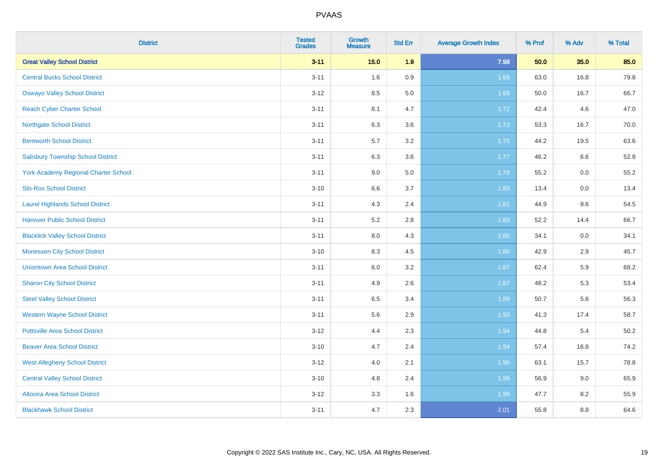| <b>District</b>                             | <b>Tested</b><br><b>Grades</b> | <b>Growth</b><br><b>Measure</b> | <b>Std Err</b> | <b>Average Growth Index</b> | % Prof | % Adv | % Total |
|---------------------------------------------|--------------------------------|---------------------------------|----------------|-----------------------------|--------|-------|---------|
| <b>Great Valley School District</b>         | $3 - 11$                       | 15.0                            | 1.9            | 7.98                        | 50.0   | 35.0  | 85.0    |
| <b>Central Bucks School District</b>        | $3 - 11$                       | 1.6                             | 0.9            | 1.66                        | 63.0   | 16.8  | 79.8    |
| <b>Oswayo Valley School District</b>        | $3-12$                         | 8.5                             | 5.0            | 1.68                        | 50.0   | 16.7  | 66.7    |
| <b>Reach Cyber Charter School</b>           | $3 - 11$                       | 8.1                             | 4.7            | 1.72                        | 42.4   | 4.6   | 47.0    |
| <b>Northgate School District</b>            | $3 - 11$                       | 6.3                             | 3.6            | 1.73                        | 53.3   | 16.7  | 70.0    |
| <b>Bentworth School District</b>            | $3 - 11$                       | 5.7                             | 3.2            | 1.75                        | 44.2   | 19.5  | 63.6    |
| <b>Salisbury Township School District</b>   | $3 - 11$                       | 6.3                             | 3.6            | 1.77                        | 46.2   | 6.6   | 52.8    |
| <b>York Academy Regional Charter School</b> | $3 - 11$                       | 9.0                             | 5.0            | 1.79                        | 55.2   | 0.0   | 55.2    |
| <b>Sto-Rox School District</b>              | $3 - 10$                       | 6.6                             | 3.7            | 1.80                        | 13.4   | 0.0   | 13.4    |
| <b>Laurel Highlands School District</b>     | $3 - 11$                       | 4.3                             | 2.4            | 1.81                        | 44.9   | 9.6   | 54.5    |
| <b>Hanover Public School District</b>       | $3 - 11$                       | 5.2                             | 2.8            | 1.83                        | 52.2   | 14.4  | 66.7    |
| <b>Blacklick Valley School District</b>     | $3 - 11$                       | 8.0                             | 4.3            | 1.85                        | 34.1   | 0.0   | 34.1    |
| <b>Monessen City School District</b>        | $3 - 10$                       | 8.3                             | 4.5            | 1.85                        | 42.9   | 2.9   | 45.7    |
| <b>Uniontown Area School District</b>       | $3 - 11$                       | 6.0                             | 3.2            | 1.87                        | 62.4   | 5.9   | 68.2    |
| <b>Sharon City School District</b>          | $3 - 11$                       | 4.9                             | 2.6            | 1.87                        | 48.2   | 5.3   | 53.4    |
| <b>Steel Valley School District</b>         | $3 - 11$                       | 6.5                             | 3.4            | 1.89                        | 50.7   | 5.6   | 56.3    |
| <b>Western Wayne School District</b>        | $3 - 11$                       | 5.6                             | 2.9            | 1.93                        | 41.3   | 17.4  | 58.7    |
| <b>Pottsville Area School District</b>      | $3 - 12$                       | 4.4                             | 2.3            | 1.94                        | 44.8   | 5.4   | 50.2    |
| <b>Beaver Area School District</b>          | $3 - 10$                       | 4.7                             | 2.4            | 1.94                        | 57.4   | 16.8  | 74.2    |
| <b>West Allegheny School District</b>       | $3-12$                         | 4.0                             | 2.1            | 1.96                        | 63.1   | 15.7  | 78.8    |
| <b>Central Valley School District</b>       | $3 - 10$                       | 4.8                             | 2.4            | 1.98                        | 56.9   | 9.0   | 65.9    |
| Altoona Area School District                | $3 - 12$                       | 3.3                             | 1.6            | 1.99                        | 47.7   | 8.2   | 55.9    |
| <b>Blackhawk School District</b>            | $3 - 11$                       | 4.7                             | 2.3            | 2.01                        | 55.8   | 8.8   | 64.6    |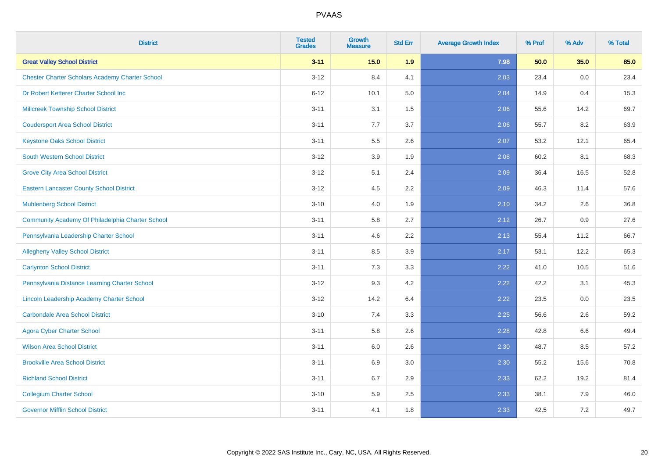| <b>District</b>                                        | <b>Tested</b><br><b>Grades</b> | <b>Growth</b><br><b>Measure</b> | <b>Std Err</b> | <b>Average Growth Index</b> | % Prof | % Adv | % Total |
|--------------------------------------------------------|--------------------------------|---------------------------------|----------------|-----------------------------|--------|-------|---------|
| <b>Great Valley School District</b>                    | $3 - 11$                       | $15.0$                          | 1.9            | 7.98                        | 50.0   | 35.0  | 85.0    |
| <b>Chester Charter Scholars Academy Charter School</b> | $3 - 12$                       | 8.4                             | 4.1            | 2.03                        | 23.4   | 0.0   | 23.4    |
| Dr Robert Ketterer Charter School Inc                  | $6 - 12$                       | 10.1                            | 5.0            | 2.04                        | 14.9   | 0.4   | 15.3    |
| <b>Millcreek Township School District</b>              | $3 - 11$                       | 3.1                             | 1.5            | 2.06                        | 55.6   | 14.2  | 69.7    |
| <b>Coudersport Area School District</b>                | $3 - 11$                       | 7.7                             | 3.7            | 2.06                        | 55.7   | 8.2   | 63.9    |
| <b>Keystone Oaks School District</b>                   | $3 - 11$                       | 5.5                             | 2.6            | 2.07                        | 53.2   | 12.1  | 65.4    |
| South Western School District                          | $3 - 12$                       | 3.9                             | 1.9            | 2.08                        | 60.2   | 8.1   | 68.3    |
| <b>Grove City Area School District</b>                 | $3 - 12$                       | 5.1                             | 2.4            | 2.09                        | 36.4   | 16.5  | 52.8    |
| <b>Eastern Lancaster County School District</b>        | $3 - 12$                       | 4.5                             | 2.2            | 2.09                        | 46.3   | 11.4  | 57.6    |
| <b>Muhlenberg School District</b>                      | $3 - 10$                       | 4.0                             | 1.9            | 2.10                        | 34.2   | 2.6   | 36.8    |
| Community Academy Of Philadelphia Charter School       | $3 - 11$                       | 5.8                             | 2.7            | 2.12                        | 26.7   | 0.9   | 27.6    |
| Pennsylvania Leadership Charter School                 | $3 - 11$                       | 4.6                             | 2.2            | 2.13                        | 55.4   | 11.2  | 66.7    |
| <b>Allegheny Valley School District</b>                | $3 - 11$                       | 8.5                             | 3.9            | 2.17                        | 53.1   | 12.2  | 65.3    |
| <b>Carlynton School District</b>                       | $3 - 11$                       | 7.3                             | 3.3            | 2.22                        | 41.0   | 10.5  | 51.6    |
| Pennsylvania Distance Learning Charter School          | $3 - 12$                       | 9.3                             | 4.2            | 2.22                        | 42.2   | 3.1   | 45.3    |
| Lincoln Leadership Academy Charter School              | $3 - 12$                       | 14.2                            | 6.4            | 2.22                        | 23.5   | 0.0   | 23.5    |
| <b>Carbondale Area School District</b>                 | $3 - 10$                       | 7.4                             | 3.3            | 2.25                        | 56.6   | 2.6   | 59.2    |
| <b>Agora Cyber Charter School</b>                      | $3 - 11$                       | 5.8                             | 2.6            | 2.28                        | 42.8   | 6.6   | 49.4    |
| <b>Wilson Area School District</b>                     | $3 - 11$                       | 6.0                             | 2.6            | 2.30                        | 48.7   | 8.5   | 57.2    |
| <b>Brookville Area School District</b>                 | $3 - 11$                       | 6.9                             | 3.0            | 2.30                        | 55.2   | 15.6  | 70.8    |
| <b>Richland School District</b>                        | $3 - 11$                       | 6.7                             | 2.9            | 2.33                        | 62.2   | 19.2  | 81.4    |
| <b>Collegium Charter School</b>                        | $3 - 10$                       | 5.9                             | 2.5            | 2.33                        | 38.1   | 7.9   | 46.0    |
| <b>Governor Mifflin School District</b>                | $3 - 11$                       | 4.1                             | 1.8            | 2.33                        | 42.5   | 7.2   | 49.7    |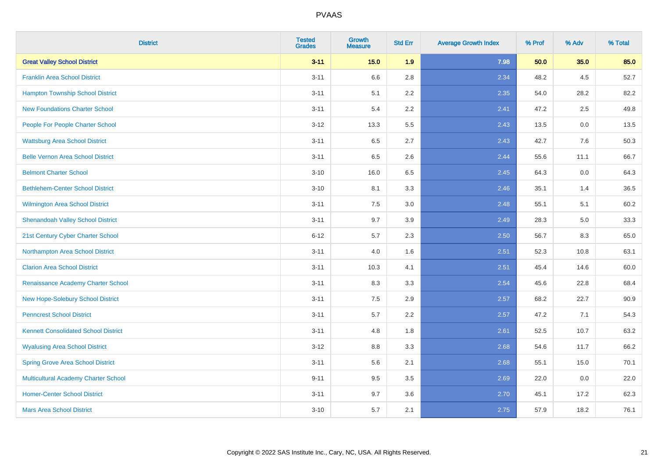| <b>District</b>                             | <b>Tested</b><br><b>Grades</b> | <b>Growth</b><br><b>Measure</b> | <b>Std Err</b> | <b>Average Growth Index</b> | % Prof | % Adv | % Total |
|---------------------------------------------|--------------------------------|---------------------------------|----------------|-----------------------------|--------|-------|---------|
| <b>Great Valley School District</b>         | $3 - 11$                       | 15.0                            | 1.9            | 7.98                        | 50.0   | 35.0  | 85.0    |
| <b>Franklin Area School District</b>        | $3 - 11$                       | 6.6                             | 2.8            | 2.34                        | 48.2   | 4.5   | 52.7    |
| <b>Hampton Township School District</b>     | $3 - 11$                       | 5.1                             | 2.2            | 2.35                        | 54.0   | 28.2  | 82.2    |
| <b>New Foundations Charter School</b>       | $3 - 11$                       | 5.4                             | 2.2            | 2.41                        | 47.2   | 2.5   | 49.8    |
| People For People Charter School            | $3 - 12$                       | 13.3                            | 5.5            | 2.43                        | 13.5   | 0.0   | 13.5    |
| <b>Wattsburg Area School District</b>       | $3 - 11$                       | 6.5                             | 2.7            | 2.43                        | 42.7   | 7.6   | 50.3    |
| <b>Belle Vernon Area School District</b>    | $3 - 11$                       | 6.5                             | 2.6            | 2.44                        | 55.6   | 11.1  | 66.7    |
| <b>Belmont Charter School</b>               | $3 - 10$                       | 16.0                            | 6.5            | 2.45                        | 64.3   | 0.0   | 64.3    |
| <b>Bethlehem-Center School District</b>     | $3 - 10$                       | 8.1                             | 3.3            | 2.46                        | 35.1   | 1.4   | 36.5    |
| Wilmington Area School District             | $3 - 11$                       | 7.5                             | 3.0            | 2.48                        | 55.1   | 5.1   | 60.2    |
| <b>Shenandoah Valley School District</b>    | $3 - 11$                       | 9.7                             | 3.9            | 2.49                        | 28.3   | 5.0   | 33.3    |
| 21st Century Cyber Charter School           | $6 - 12$                       | 5.7                             | 2.3            | 2.50                        | 56.7   | 8.3   | 65.0    |
| Northampton Area School District            | $3 - 11$                       | 4.0                             | 1.6            | 2.51                        | 52.3   | 10.8  | 63.1    |
| <b>Clarion Area School District</b>         | $3 - 11$                       | 10.3                            | 4.1            | 2.51                        | 45.4   | 14.6  | 60.0    |
| Renaissance Academy Charter School          | $3 - 11$                       | 8.3                             | 3.3            | 2.54                        | 45.6   | 22.8  | 68.4    |
| New Hope-Solebury School District           | $3 - 11$                       | $7.5\,$                         | 2.9            | 2.57                        | 68.2   | 22.7  | 90.9    |
| <b>Penncrest School District</b>            | $3 - 11$                       | 5.7                             | 2.2            | 2.57                        | 47.2   | 7.1   | 54.3    |
| <b>Kennett Consolidated School District</b> | $3 - 11$                       | 4.8                             | 1.8            | 2.61                        | 52.5   | 10.7  | 63.2    |
| <b>Wyalusing Area School District</b>       | $3 - 12$                       | $8.8\,$                         | 3.3            | 2.68                        | 54.6   | 11.7  | 66.2    |
| <b>Spring Grove Area School District</b>    | $3 - 11$                       | 5.6                             | 2.1            | 2.68                        | 55.1   | 15.0  | 70.1    |
| <b>Multicultural Academy Charter School</b> | $9 - 11$                       | 9.5                             | 3.5            | 2.69                        | 22.0   | 0.0   | 22.0    |
| <b>Homer-Center School District</b>         | $3 - 11$                       | 9.7                             | 3.6            | 2.70                        | 45.1   | 17.2  | 62.3    |
| <b>Mars Area School District</b>            | $3 - 10$                       | 5.7                             | 2.1            | 2.75                        | 57.9   | 18.2  | 76.1    |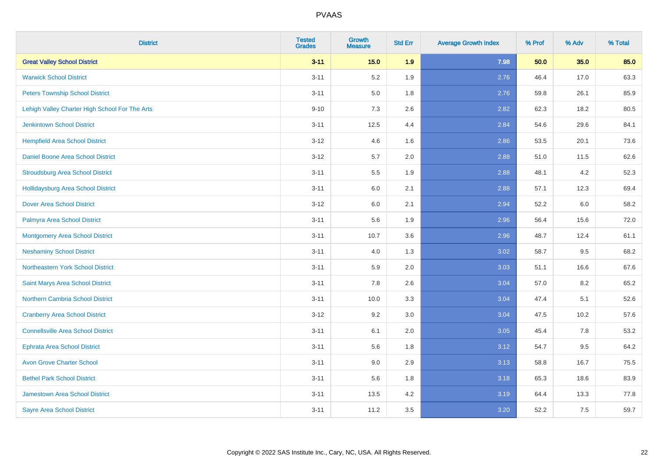| <b>District</b>                                | <b>Tested</b><br><b>Grades</b> | <b>Growth</b><br><b>Measure</b> | <b>Std Err</b> | <b>Average Growth Index</b> | % Prof | % Adv | % Total |
|------------------------------------------------|--------------------------------|---------------------------------|----------------|-----------------------------|--------|-------|---------|
| <b>Great Valley School District</b>            | $3 - 11$                       | 15.0                            | 1.9            | 7.98                        | 50.0   | 35.0  | 85.0    |
| <b>Warwick School District</b>                 | $3 - 11$                       | 5.2                             | 1.9            | 2.76                        | 46.4   | 17.0  | 63.3    |
| <b>Peters Township School District</b>         | $3 - 11$                       | 5.0                             | 1.8            | 2.76                        | 59.8   | 26.1  | 85.9    |
| Lehigh Valley Charter High School For The Arts | $9 - 10$                       | 7.3                             | 2.6            | 2.82                        | 62.3   | 18.2  | 80.5    |
| <b>Jenkintown School District</b>              | $3 - 11$                       | 12.5                            | 4.4            | 2.84                        | 54.6   | 29.6  | 84.1    |
| <b>Hempfield Area School District</b>          | $3 - 12$                       | 4.6                             | 1.6            | 2.86                        | 53.5   | 20.1  | 73.6    |
| Daniel Boone Area School District              | $3 - 12$                       | 5.7                             | 2.0            | 2.88                        | 51.0   | 11.5  | 62.6    |
| <b>Stroudsburg Area School District</b>        | $3 - 11$                       | 5.5                             | 1.9            | 2.88                        | 48.1   | 4.2   | 52.3    |
| <b>Hollidaysburg Area School District</b>      | $3 - 11$                       | 6.0                             | 2.1            | 2.88                        | 57.1   | 12.3  | 69.4    |
| <b>Dover Area School District</b>              | $3-12$                         | 6.0                             | 2.1            | 2.94                        | 52.2   | 6.0   | 58.2    |
| Palmyra Area School District                   | $3 - 11$                       | 5.6                             | 1.9            | 2.96                        | 56.4   | 15.6  | 72.0    |
| <b>Montgomery Area School District</b>         | $3 - 11$                       | 10.7                            | 3.6            | 2.96                        | 48.7   | 12.4  | 61.1    |
| <b>Neshaminy School District</b>               | $3 - 11$                       | 4.0                             | 1.3            | 3.02                        | 58.7   | 9.5   | 68.2    |
| Northeastern York School District              | $3 - 11$                       | 5.9                             | 2.0            | 3.03                        | 51.1   | 16.6  | 67.6    |
| Saint Marys Area School District               | $3 - 11$                       | 7.8                             | 2.6            | 3.04                        | 57.0   | 8.2   | 65.2    |
| <b>Northern Cambria School District</b>        | $3 - 11$                       | 10.0                            | 3.3            | 3.04                        | 47.4   | 5.1   | 52.6    |
| <b>Cranberry Area School District</b>          | $3-12$                         | 9.2                             | 3.0            | 3.04                        | 47.5   | 10.2  | 57.6    |
| <b>Connellsville Area School District</b>      | $3 - 11$                       | 6.1                             | 2.0            | 3.05                        | 45.4   | 7.8   | 53.2    |
| <b>Ephrata Area School District</b>            | $3 - 11$                       | 5.6                             | 1.8            | 3.12                        | 54.7   | 9.5   | 64.2    |
| <b>Avon Grove Charter School</b>               | $3 - 11$                       | 9.0                             | 2.9            | 3.13                        | 58.8   | 16.7  | 75.5    |
| <b>Bethel Park School District</b>             | $3 - 11$                       | 5.6                             | 1.8            | 3.18                        | 65.3   | 18.6  | 83.9    |
| <b>Jamestown Area School District</b>          | $3 - 11$                       | 13.5                            | 4.2            | 3.19                        | 64.4   | 13.3  | 77.8    |
| <b>Sayre Area School District</b>              | $3 - 11$                       | 11.2                            | 3.5            | 3.20                        | 52.2   | 7.5   | 59.7    |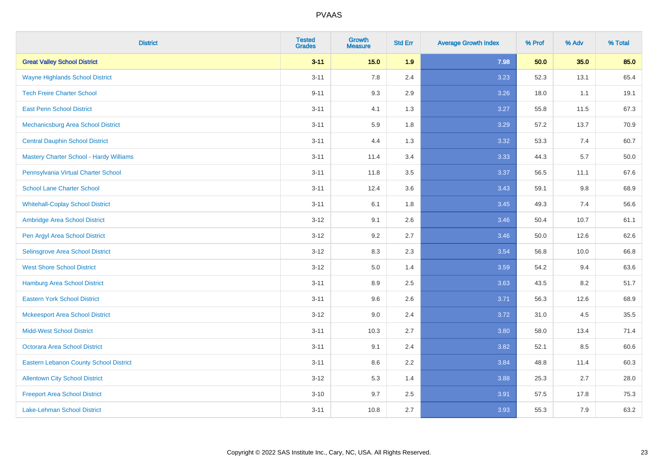| <b>District</b>                                | <b>Tested</b><br><b>Grades</b> | <b>Growth</b><br><b>Measure</b> | <b>Std Err</b> | <b>Average Growth Index</b> | % Prof | % Adv | % Total |
|------------------------------------------------|--------------------------------|---------------------------------|----------------|-----------------------------|--------|-------|---------|
| <b>Great Valley School District</b>            | $3 - 11$                       | 15.0                            | 1.9            | 7.98                        | 50.0   | 35.0  | 85.0    |
| <b>Wayne Highlands School District</b>         | $3 - 11$                       | 7.8                             | 2.4            | 3.23                        | 52.3   | 13.1  | 65.4    |
| <b>Tech Freire Charter School</b>              | $9 - 11$                       | 9.3                             | 2.9            | 3.26                        | 18.0   | 1.1   | 19.1    |
| <b>East Penn School District</b>               | $3 - 11$                       | 4.1                             | 1.3            | 3.27                        | 55.8   | 11.5  | 67.3    |
| Mechanicsburg Area School District             | $3 - 11$                       | 5.9                             | 1.8            | 3.29                        | 57.2   | 13.7  | 70.9    |
| <b>Central Dauphin School District</b>         | $3 - 11$                       | 4.4                             | 1.3            | 3.32                        | 53.3   | 7.4   | 60.7    |
| <b>Mastery Charter School - Hardy Williams</b> | $3 - 11$                       | 11.4                            | 3.4            | 3.33                        | 44.3   | 5.7   | 50.0    |
| Pennsylvania Virtual Charter School            | $3 - 11$                       | 11.8                            | 3.5            | 3.37                        | 56.5   | 11.1  | 67.6    |
| <b>School Lane Charter School</b>              | $3 - 11$                       | 12.4                            | 3.6            | 3.43                        | 59.1   | 9.8   | 68.9    |
| <b>Whitehall-Coplay School District</b>        | $3 - 11$                       | 6.1                             | 1.8            | 3.45                        | 49.3   | 7.4   | 56.6    |
| Ambridge Area School District                  | $3 - 12$                       | 9.1                             | 2.6            | 3.46                        | 50.4   | 10.7  | 61.1    |
| Pen Argyl Area School District                 | $3 - 12$                       | 9.2                             | 2.7            | 3.46                        | 50.0   | 12.6  | 62.6    |
| Selinsgrove Area School District               | $3 - 12$                       | 8.3                             | 2.3            | 3.54                        | 56.8   | 10.0  | 66.8    |
| <b>West Shore School District</b>              | $3 - 12$                       | 5.0                             | 1.4            | 3.59                        | 54.2   | 9.4   | 63.6    |
| <b>Hamburg Area School District</b>            | $3 - 11$                       | 8.9                             | 2.5            | 3.63                        | 43.5   | 8.2   | 51.7    |
| <b>Eastern York School District</b>            | $3 - 11$                       | 9.6                             | 2.6            | 3.71                        | 56.3   | 12.6  | 68.9    |
| <b>Mckeesport Area School District</b>         | $3 - 12$                       | 9.0                             | 2.4            | 3.72                        | 31.0   | 4.5   | 35.5    |
| <b>Midd-West School District</b>               | $3 - 11$                       | 10.3                            | 2.7            | 3.80                        | 58.0   | 13.4  | 71.4    |
| <b>Octorara Area School District</b>           | $3 - 11$                       | 9.1                             | 2.4            | 3.82                        | 52.1   | 8.5   | 60.6    |
| <b>Eastern Lebanon County School District</b>  | $3 - 11$                       | 8.6                             | 2.2            | 3.84                        | 48.8   | 11.4  | 60.3    |
| <b>Allentown City School District</b>          | $3 - 12$                       | 5.3                             | 1.4            | 3.88                        | 25.3   | 2.7   | 28.0    |
| <b>Freeport Area School District</b>           | $3 - 10$                       | 9.7                             | 2.5            | 3.91                        | 57.5   | 17.8  | 75.3    |
| <b>Lake-Lehman School District</b>             | $3 - 11$                       | 10.8                            | 2.7            | 3.93                        | 55.3   | 7.9   | 63.2    |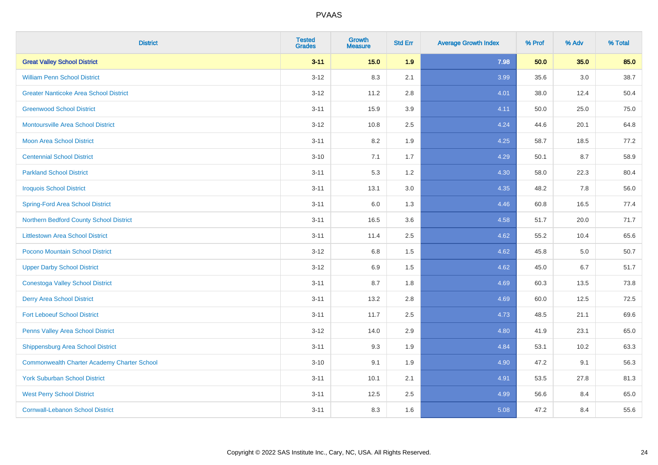| <b>District</b>                                    | <b>Tested</b><br><b>Grades</b> | Growth<br><b>Measure</b> | <b>Std Err</b> | <b>Average Growth Index</b> | % Prof | % Adv | % Total |
|----------------------------------------------------|--------------------------------|--------------------------|----------------|-----------------------------|--------|-------|---------|
| <b>Great Valley School District</b>                | $3 - 11$                       | 15.0                     | 1.9            | 7.98                        | 50.0   | 35.0  | 85.0    |
| <b>William Penn School District</b>                | $3 - 12$                       | 8.3                      | 2.1            | 3.99                        | 35.6   | 3.0   | 38.7    |
| <b>Greater Nanticoke Area School District</b>      | $3 - 12$                       | 11.2                     | 2.8            | 4.01                        | 38.0   | 12.4  | 50.4    |
| <b>Greenwood School District</b>                   | $3 - 11$                       | 15.9                     | 3.9            | 4.11                        | 50.0   | 25.0  | 75.0    |
| <b>Montoursville Area School District</b>          | $3 - 12$                       | 10.8                     | 2.5            | 4.24                        | 44.6   | 20.1  | 64.8    |
| <b>Moon Area School District</b>                   | $3 - 11$                       | 8.2                      | 1.9            | 4.25                        | 58.7   | 18.5  | 77.2    |
| <b>Centennial School District</b>                  | $3 - 10$                       | 7.1                      | 1.7            | 4.29                        | 50.1   | 8.7   | 58.9    |
| <b>Parkland School District</b>                    | $3 - 11$                       | 5.3                      | 1.2            | 4.30                        | 58.0   | 22.3  | 80.4    |
| <b>Iroquois School District</b>                    | $3 - 11$                       | 13.1                     | 3.0            | 4.35                        | 48.2   | 7.8   | 56.0    |
| <b>Spring-Ford Area School District</b>            | $3 - 11$                       | 6.0                      | 1.3            | 4.46                        | 60.8   | 16.5  | 77.4    |
| Northern Bedford County School District            | $3 - 11$                       | 16.5                     | 3.6            | 4.58                        | 51.7   | 20.0  | 71.7    |
| <b>Littlestown Area School District</b>            | $3 - 11$                       | 11.4                     | 2.5            | 4.62                        | 55.2   | 10.4  | 65.6    |
| Pocono Mountain School District                    | $3 - 12$                       | 6.8                      | 1.5            | 4.62                        | 45.8   | 5.0   | 50.7    |
| <b>Upper Darby School District</b>                 | $3 - 12$                       | 6.9                      | 1.5            | 4.62                        | 45.0   | 6.7   | 51.7    |
| <b>Conestoga Valley School District</b>            | $3 - 11$                       | 8.7                      | 1.8            | 4.69                        | 60.3   | 13.5  | 73.8    |
| <b>Derry Area School District</b>                  | $3 - 11$                       | 13.2                     | 2.8            | 4.69                        | 60.0   | 12.5  | 72.5    |
| <b>Fort Leboeuf School District</b>                | $3 - 11$                       | 11.7                     | 2.5            | 4.73                        | 48.5   | 21.1  | 69.6    |
| Penns Valley Area School District                  | $3 - 12$                       | 14.0                     | 2.9            | 4.80                        | 41.9   | 23.1  | 65.0    |
| <b>Shippensburg Area School District</b>           | $3 - 11$                       | 9.3                      | 1.9            | 4.84                        | 53.1   | 10.2  | 63.3    |
| <b>Commonwealth Charter Academy Charter School</b> | $3 - 10$                       | 9.1                      | 1.9            | 4.90                        | 47.2   | 9.1   | 56.3    |
| <b>York Suburban School District</b>               | $3 - 11$                       | 10.1                     | 2.1            | 4.91                        | 53.5   | 27.8  | 81.3    |
| <b>West Perry School District</b>                  | $3 - 11$                       | 12.5                     | 2.5            | 4.99                        | 56.6   | 8.4   | 65.0    |
| <b>Cornwall-Lebanon School District</b>            | $3 - 11$                       | 8.3                      | 1.6            | 5.08                        | 47.2   | 8.4   | 55.6    |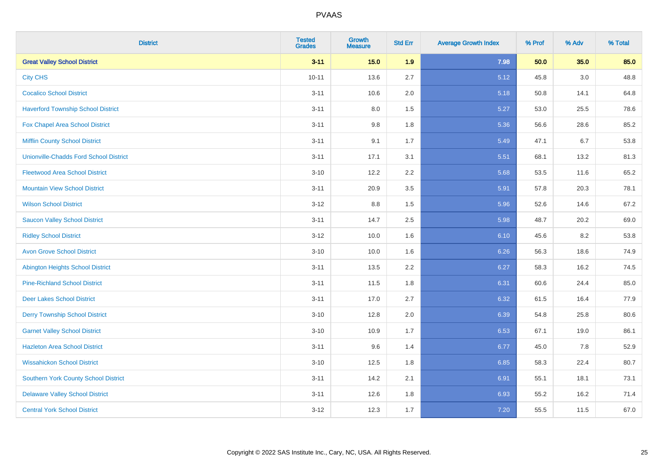| <b>District</b>                               | <b>Tested</b><br><b>Grades</b> | <b>Growth</b><br><b>Measure</b> | <b>Std Err</b> | <b>Average Growth Index</b> | % Prof | % Adv | % Total |
|-----------------------------------------------|--------------------------------|---------------------------------|----------------|-----------------------------|--------|-------|---------|
| <b>Great Valley School District</b>           | $3 - 11$                       | 15.0                            | 1.9            | 7.98                        | 50.0   | 35.0  | 85.0    |
| <b>City CHS</b>                               | $10 - 11$                      | 13.6                            | 2.7            | 5.12                        | 45.8   | 3.0   | 48.8    |
| <b>Cocalico School District</b>               | $3 - 11$                       | 10.6                            | 2.0            | 5.18                        | 50.8   | 14.1  | 64.8    |
| <b>Haverford Township School District</b>     | $3 - 11$                       | $8.0\,$                         | 1.5            | 5.27                        | 53.0   | 25.5  | 78.6    |
| Fox Chapel Area School District               | $3 - 11$                       | 9.8                             | 1.8            | 5.36                        | 56.6   | 28.6  | 85.2    |
| <b>Mifflin County School District</b>         | $3 - 11$                       | 9.1                             | 1.7            | 5.49                        | 47.1   | 6.7   | 53.8    |
| <b>Unionville-Chadds Ford School District</b> | $3 - 11$                       | 17.1                            | 3.1            | 5.51                        | 68.1   | 13.2  | 81.3    |
| <b>Fleetwood Area School District</b>         | $3 - 10$                       | 12.2                            | 2.2            | 5.68                        | 53.5   | 11.6  | 65.2    |
| <b>Mountain View School District</b>          | $3 - 11$                       | 20.9                            | 3.5            | 5.91                        | 57.8   | 20.3  | 78.1    |
| <b>Wilson School District</b>                 | $3-12$                         | $8.8\,$                         | 1.5            | 5.96                        | 52.6   | 14.6  | 67.2    |
| <b>Saucon Valley School District</b>          | $3 - 11$                       | 14.7                            | 2.5            | 5.98                        | 48.7   | 20.2  | 69.0    |
| <b>Ridley School District</b>                 | $3 - 12$                       | 10.0                            | 1.6            | 6.10                        | 45.6   | 8.2   | 53.8    |
| <b>Avon Grove School District</b>             | $3 - 10$                       | 10.0                            | 1.6            | 6.26                        | 56.3   | 18.6  | 74.9    |
| <b>Abington Heights School District</b>       | $3 - 11$                       | 13.5                            | 2.2            | 6.27                        | 58.3   | 16.2  | 74.5    |
| <b>Pine-Richland School District</b>          | $3 - 11$                       | 11.5                            | 1.8            | 6.31                        | 60.6   | 24.4  | 85.0    |
| <b>Deer Lakes School District</b>             | $3 - 11$                       | 17.0                            | 2.7            | 6.32                        | 61.5   | 16.4  | 77.9    |
| <b>Derry Township School District</b>         | $3 - 10$                       | 12.8                            | 2.0            | 6.39                        | 54.8   | 25.8  | 80.6    |
| <b>Garnet Valley School District</b>          | $3 - 10$                       | 10.9                            | 1.7            | 6.53                        | 67.1   | 19.0  | 86.1    |
| <b>Hazleton Area School District</b>          | $3 - 11$                       | 9.6                             | 1.4            | 6.77                        | 45.0   | 7.8   | 52.9    |
| <b>Wissahickon School District</b>            | $3 - 10$                       | 12.5                            | 1.8            | 6.85                        | 58.3   | 22.4  | 80.7    |
| <b>Southern York County School District</b>   | $3 - 11$                       | 14.2                            | 2.1            | 6.91                        | 55.1   | 18.1  | 73.1    |
| <b>Delaware Valley School District</b>        | $3 - 11$                       | 12.6                            | 1.8            | 6.93                        | 55.2   | 16.2  | 71.4    |
| <b>Central York School District</b>           | $3-12$                         | 12.3                            | 1.7            | 7.20                        | 55.5   | 11.5  | 67.0    |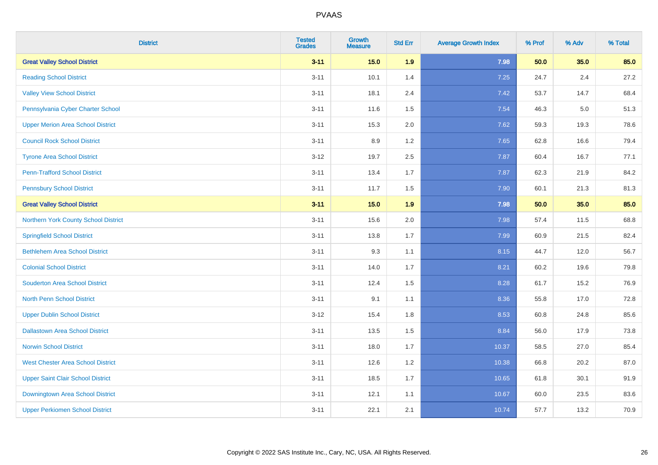| <b>District</b>                          | <b>Tested</b><br><b>Grades</b> | <b>Growth</b><br><b>Measure</b> | <b>Std Err</b> | <b>Average Growth Index</b> | % Prof | % Adv   | % Total |
|------------------------------------------|--------------------------------|---------------------------------|----------------|-----------------------------|--------|---------|---------|
| <b>Great Valley School District</b>      | $3 - 11$                       | 15.0                            | 1.9            | 7.98                        | 50.0   | 35.0    | 85.0    |
| <b>Reading School District</b>           | $3 - 11$                       | 10.1                            | 1.4            | 7.25                        | 24.7   | $2.4\,$ | 27.2    |
| <b>Valley View School District</b>       | $3 - 11$                       | 18.1                            | 2.4            | 7.42                        | 53.7   | 14.7    | 68.4    |
| Pennsylvania Cyber Charter School        | $3 - 11$                       | 11.6                            | 1.5            | 7.54                        | 46.3   | 5.0     | 51.3    |
| <b>Upper Merion Area School District</b> | $3 - 11$                       | 15.3                            | 2.0            | 7.62                        | 59.3   | 19.3    | 78.6    |
| <b>Council Rock School District</b>      | $3 - 11$                       | 8.9                             | 1.2            | 7.65                        | 62.8   | 16.6    | 79.4    |
| <b>Tyrone Area School District</b>       | $3 - 12$                       | 19.7                            | 2.5            | 7.87                        | 60.4   | 16.7    | 77.1    |
| <b>Penn-Trafford School District</b>     | $3 - 11$                       | 13.4                            | 1.7            | 7.87                        | 62.3   | 21.9    | 84.2    |
| <b>Pennsbury School District</b>         | $3 - 11$                       | 11.7                            | 1.5            | 7.90                        | 60.1   | 21.3    | 81.3    |
| <b>Great Valley School District</b>      | $3 - 11$                       | 15.0                            | 1.9            | 7.98                        | 50.0   | 35.0    | 85.0    |
| Northern York County School District     | $3 - 11$                       | 15.6                            | 2.0            | 7.98                        | 57.4   | 11.5    | 68.8    |
| <b>Springfield School District</b>       | $3 - 11$                       | 13.8                            | 1.7            | 7.99                        | 60.9   | 21.5    | 82.4    |
| <b>Bethlehem Area School District</b>    | $3 - 11$                       | 9.3                             | 1.1            | 8.15                        | 44.7   | 12.0    | 56.7    |
| <b>Colonial School District</b>          | $3 - 11$                       | 14.0                            | 1.7            | 8.21                        | 60.2   | 19.6    | 79.8    |
| <b>Souderton Area School District</b>    | $3 - 11$                       | 12.4                            | 1.5            | 8.28                        | 61.7   | 15.2    | 76.9    |
| <b>North Penn School District</b>        | $3 - 11$                       | 9.1                             | 1.1            | 8.36                        | 55.8   | 17.0    | 72.8    |
| <b>Upper Dublin School District</b>      | $3 - 12$                       | 15.4                            | 1.8            | 8.53                        | 60.8   | 24.8    | 85.6    |
| <b>Dallastown Area School District</b>   | $3 - 11$                       | 13.5                            | 1.5            | 8.84                        | 56.0   | 17.9    | 73.8    |
| <b>Norwin School District</b>            | $3 - 11$                       | 18.0                            | 1.7            | 10.37                       | 58.5   | 27.0    | 85.4    |
| <b>West Chester Area School District</b> | $3 - 11$                       | 12.6                            | 1.2            | 10.38                       | 66.8   | 20.2    | 87.0    |
| <b>Upper Saint Clair School District</b> | $3 - 11$                       | 18.5                            | 1.7            | 10.65                       | 61.8   | 30.1    | 91.9    |
| Downingtown Area School District         | $3 - 11$                       | 12.1                            | 1.1            | 10.67                       | 60.0   | 23.5    | 83.6    |
| <b>Upper Perkiomen School District</b>   | $3 - 11$                       | 22.1                            | 2.1            | 10.74                       | 57.7   | 13.2    | 70.9    |